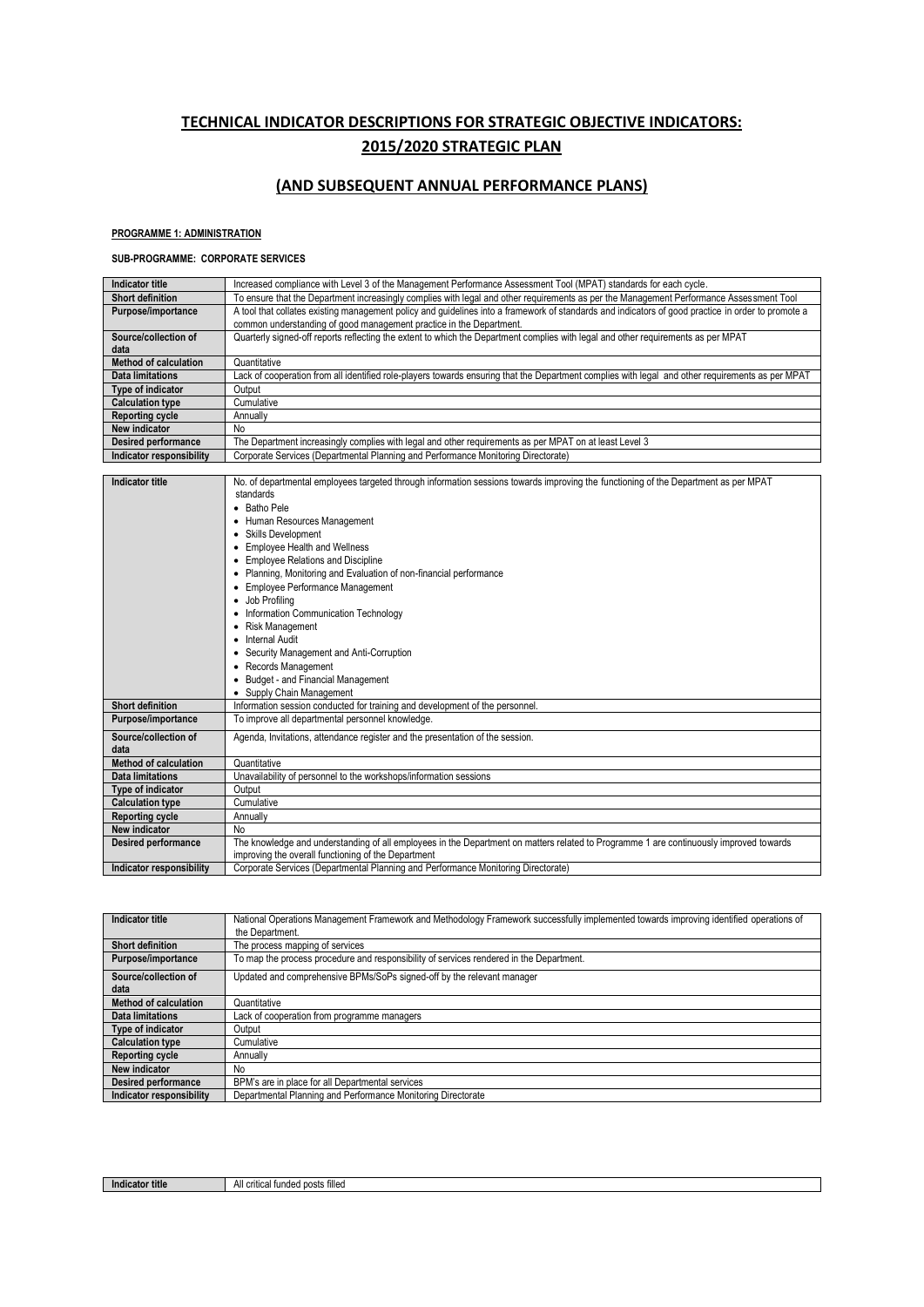# **TECHNICAL INDICATOR DESCRIPTIONS FOR STRATEGIC OBJECTIVE INDICATORS: 2015/2020 STRATEGIC PLAN**

# **(AND SUBSEQUENT ANNUAL PERFORMANCE PLANS)**

### **PROGRAMME 1: ADMINISTRATION**

#### **SUB-PROGRAMME: CORPORATE SERVICES**

| <b>Indicator title</b>       | Increased compliance with Level 3 of the Management Performance Assessment Tool (MPAT) standards for each cycle.                                   |
|------------------------------|----------------------------------------------------------------------------------------------------------------------------------------------------|
| <b>Short definition</b>      | To ensure that the Department increasingly complies with legal and other requirements as per the Management Performance Assessment Tool            |
| Purpose/importance           | A tool that collates existing management policy and guidelines into a framework of standards and indicators of good practice in order to promote a |
|                              | common understanding of good management practice in the Department.                                                                                |
| Source/collection of         | Quarterly signed-off reports reflecting the extent to which the Department complies with legal and other requirements as per MPAT                  |
| data                         |                                                                                                                                                    |
| <b>Method of calculation</b> | Quantitative                                                                                                                                       |
| Data limitations             | Lack of cooperation from all identified role-players towards ensuring that the Department complies with legal and other requirements as per MPAT   |
| Type of indicator            | Output                                                                                                                                             |
| <b>Calculation type</b>      | Cumulative                                                                                                                                         |
| Reporting cycle              | Annually                                                                                                                                           |
| New indicator                | No.                                                                                                                                                |
| <b>Desired performance</b>   | The Department increasingly complies with legal and other requirements as per MPAT on at least Level 3                                             |
| Indicator responsibility     | Corporate Services (Departmental Planning and Performance Monitoring Directorate)                                                                  |
|                              |                                                                                                                                                    |
| <b>Indicator title</b>       | No. of departmental employees targeted through information sessions towards improving the functioning of the Department as per MPAT                |
|                              | standards                                                                                                                                          |
|                              | Datha Dala                                                                                                                                         |

|                              | • Batho Pele                                                                                                                           |
|------------------------------|----------------------------------------------------------------------------------------------------------------------------------------|
|                              | • Human Resources Management                                                                                                           |
|                              | <b>Skills Development</b>                                                                                                              |
|                              | <b>Employee Health and Wellness</b>                                                                                                    |
|                              | <b>Employee Relations and Discipline</b><br>٠                                                                                          |
|                              | Planning, Monitoring and Evaluation of non-financial performance                                                                       |
|                              | <b>Employee Performance Management</b><br>٠                                                                                            |
|                              | Job Profilina<br>٠                                                                                                                     |
|                              | Information Communication Technology                                                                                                   |
|                              | Risk Management<br>٠                                                                                                                   |
|                              | Internal Audit                                                                                                                         |
|                              | Security Management and Anti-Corruption<br>٠                                                                                           |
|                              | Records Management<br>٠                                                                                                                |
|                              | Budget - and Financial Management<br>٠                                                                                                 |
|                              | • Supply Chain Management                                                                                                              |
| <b>Short definition</b>      | Information session conducted for training and development of the personnel.                                                           |
| Purpose/importance           | To improve all departmental personnel knowledge.                                                                                       |
| Source/collection of         | Agenda, Invitations, attendance register and the presentation of the session.                                                          |
| data                         |                                                                                                                                        |
| <b>Method of calculation</b> | Quantitative                                                                                                                           |
| Data limitations             | Unavailability of personnel to the workshops/information sessions                                                                      |
| Type of indicator            | Output                                                                                                                                 |
| <b>Calculation type</b>      | Cumulative                                                                                                                             |
| <b>Reporting cycle</b>       | Annually                                                                                                                               |
| New indicator                | No                                                                                                                                     |
| <b>Desired performance</b>   | The knowledge and understanding of all employees in the Department on matters related to Programme 1 are continuously improved towards |
|                              | improving the overall functioning of the Department                                                                                    |
| Indicator responsibility     | Corporate Services (Departmental Planning and Performance Monitoring Directorate)                                                      |

| Indicator title                 | National Operations Management Framework and Methodology Framework successfully implemented towards improving identified operations of<br>the Department. |
|---------------------------------|-----------------------------------------------------------------------------------------------------------------------------------------------------------|
| <b>Short definition</b>         | The process mapping of services                                                                                                                           |
| Purpose/importance              | To map the process procedure and responsibility of services rendered in the Department.                                                                   |
| Source/collection of<br>data    | Updated and comprehensive BPMs/SoPs signed-off by the relevant manager                                                                                    |
| Method of calculation           | Quantitative                                                                                                                                              |
| <b>Data limitations</b>         | Lack of cooperation from programme managers                                                                                                               |
| Type of indicator               | Output                                                                                                                                                    |
| <b>Calculation type</b>         | Cumulative                                                                                                                                                |
| Reporting cycle                 | Annually                                                                                                                                                  |
| New indicator                   | No                                                                                                                                                        |
| <b>Desired performance</b>      | BPM's are in place for all Departmental services                                                                                                          |
| <b>Indicator responsibility</b> | Departmental Planning and Performance Monitoring Directorate                                                                                              |

| ≙ ÷illon<br>$n \wedge n$<br>* title<br>critical<br>Indicator<br>80 A A<br>ΑII |  |
|-------------------------------------------------------------------------------|--|
| - มนรเร<br><b>IIIICU</b><br>.                                                 |  |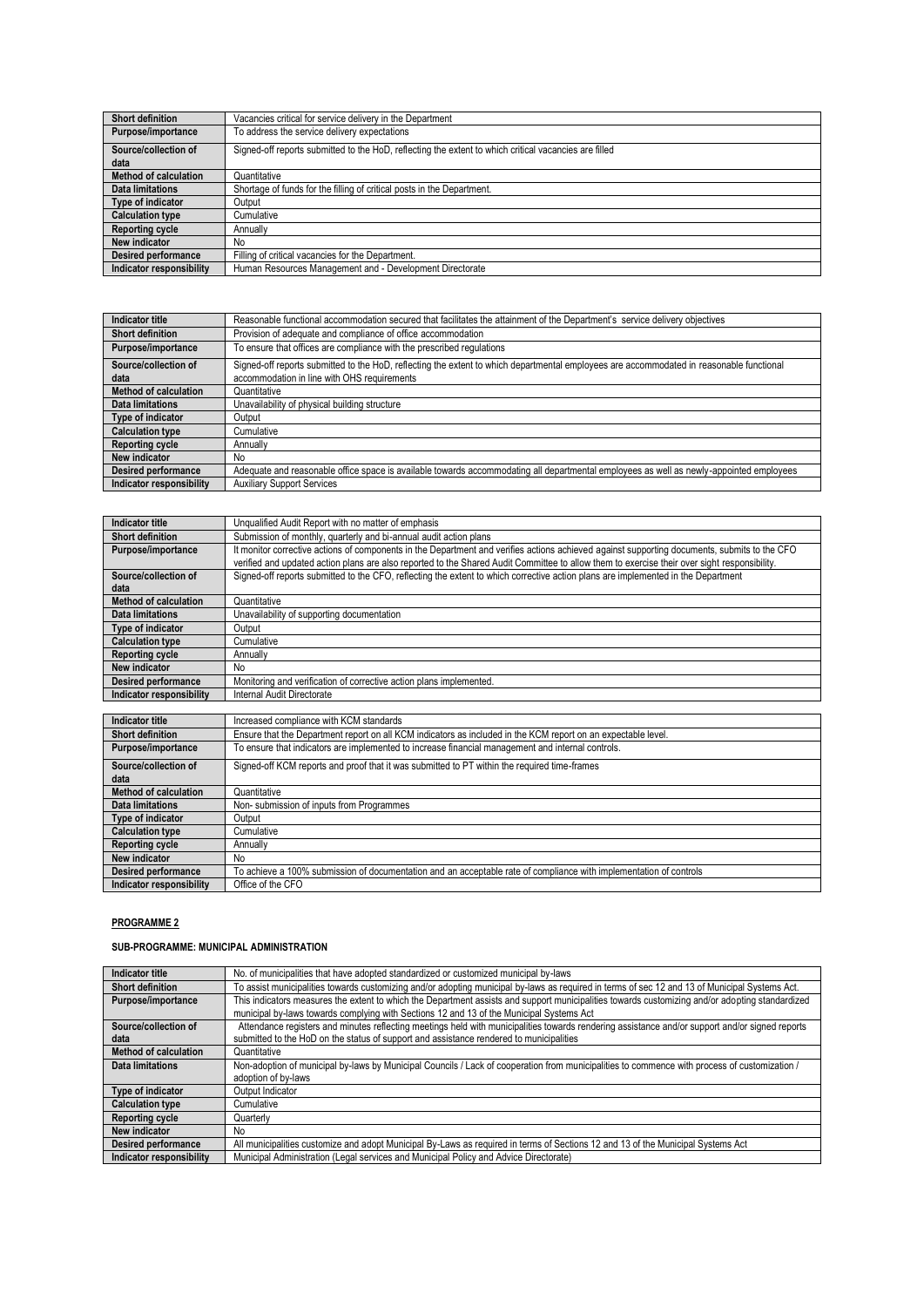| Short definition             | Vacancies critical for service delivery in the Department                                             |
|------------------------------|-------------------------------------------------------------------------------------------------------|
| Purpose/importance           | To address the service delivery expectations                                                          |
| Source/collection of<br>data | Signed-off reports submitted to the HoD, reflecting the extent to which critical vacancies are filled |
| <b>Method of calculation</b> | Quantitative                                                                                          |
| Data limitations             | Shortage of funds for the filling of critical posts in the Department.                                |
| Type of indicator            | Output                                                                                                |
| <b>Calculation type</b>      | Cumulative                                                                                            |
| <b>Reporting cycle</b>       | Annually                                                                                              |
| New indicator                | <b>No</b>                                                                                             |
| <b>Desired performance</b>   | Filling of critical vacancies for the Department.                                                     |
| Indicator responsibility     | Human Resources Management and - Development Directorate                                              |

| Indicator title              | Reasonable functional accommodation secured that facilitates the attainment of the Department's service delivery objectives              |
|------------------------------|------------------------------------------------------------------------------------------------------------------------------------------|
| <b>Short definition</b>      | Provision of adequate and compliance of office accommodation                                                                             |
| Purpose/importance           | To ensure that offices are compliance with the prescribed regulations                                                                    |
| Source/collection of         | Signed-off reports submitted to the HoD, reflecting the extent to which departmental employees are accommodated in reasonable functional |
| data                         | accommodation in line with OHS requirements                                                                                              |
| <b>Method of calculation</b> | Quantitative                                                                                                                             |
| <b>Data limitations</b>      | Unavailability of physical building structure                                                                                            |
| Type of indicator            | Output                                                                                                                                   |
| <b>Calculation type</b>      | Cumulative                                                                                                                               |
| <b>Reporting cycle</b>       | Annually                                                                                                                                 |
| New indicator                | No.                                                                                                                                      |
| Desired performance          | Adequate and reasonable office space is available towards accommodating all departmental employees as well as newly-appointed employees  |
| Indicator responsibility     | <b>Auxiliary Support Services</b>                                                                                                        |

| Indicator title              | Unqualified Audit Report with no matter of emphasis                                                                                                                                                                                                                                          |
|------------------------------|----------------------------------------------------------------------------------------------------------------------------------------------------------------------------------------------------------------------------------------------------------------------------------------------|
| <b>Short definition</b>      | Submission of monthly, quarterly and bi-annual audit action plans                                                                                                                                                                                                                            |
| Purpose/importance           | It monitor corrective actions of components in the Department and verifies actions achieved against supporting documents, submits to the CFO<br>verified and updated action plans are also reported to the Shared Audit Committee to allow them to exercise their over sight responsibility. |
| Source/collection of<br>data | Signed-off reports submitted to the CFO, reflecting the extent to which corrective action plans are implemented in the Department                                                                                                                                                            |
| <b>Method of calculation</b> | Quantitative                                                                                                                                                                                                                                                                                 |
| Data limitations             | Unavailability of supporting documentation                                                                                                                                                                                                                                                   |
| Type of indicator            | Output                                                                                                                                                                                                                                                                                       |
| <b>Calculation type</b>      | Cumulative                                                                                                                                                                                                                                                                                   |
| <b>Reporting cycle</b>       | Annually                                                                                                                                                                                                                                                                                     |
| New indicator                | <b>No</b>                                                                                                                                                                                                                                                                                    |
| <b>Desired performance</b>   | Monitoring and verification of corrective action plans implemented.                                                                                                                                                                                                                          |
| Indicator responsibility     | Internal Audit Directorate                                                                                                                                                                                                                                                                   |
|                              |                                                                                                                                                                                                                                                                                              |

| Indicator title              | Increased compliance with KCM standards                                                                            |
|------------------------------|--------------------------------------------------------------------------------------------------------------------|
| <b>Short definition</b>      | Ensure that the Department report on all KCM indicators as included in the KCM report on an expectable level.      |
| Purpose/importance           | To ensure that indicators are implemented to increase financial management and internal controls.                  |
| Source/collection of         | Signed-off KCM reports and proof that it was submitted to PT within the required time-frames                       |
| data                         |                                                                                                                    |
| <b>Method of calculation</b> | Quantitative                                                                                                       |
| Data limitations             | Non-submission of inputs from Programmes                                                                           |
| Type of indicator            | Output                                                                                                             |
| <b>Calculation type</b>      | Cumulative                                                                                                         |
| <b>Reporting cycle</b>       | Annually                                                                                                           |
| New indicator                | No.                                                                                                                |
| <b>Desired performance</b>   | To achieve a 100% submission of documentation and an acceptable rate of compliance with implementation of controls |
| Indicator responsibility     | Office of the CFO                                                                                                  |

### **PROGRAMME 2**

# **SUB-PROGRAMME: MUNICIPAL ADMINISTRATION**

| Indicator title              | No. of municipalities that have adopted standardized or customized municipal by-laws                                                                                                                                                        |
|------------------------------|---------------------------------------------------------------------------------------------------------------------------------------------------------------------------------------------------------------------------------------------|
| <b>Short definition</b>      | To assist municipalities towards customizing and/or adopting municipal by-laws as required in terms of sec 12 and 13 of Municipal Systems Act.                                                                                              |
| Purpose/importance           | This indicators measures the extent to which the Department assists and support municipalities towards customizing and/or adopting standardized<br>municipal by-laws towards complying with Sections 12 and 13 of the Municipal Systems Act |
| Source/collection of<br>data | Attendance registers and minutes reflecting meetings held with municipalities towards rendering assistance and/or support and/or signed reports<br>submitted to the HoD on the status of support and assistance rendered to municipalities  |
| <b>Method of calculation</b> | Quantitative                                                                                                                                                                                                                                |
| Data limitations             | Non-adoption of municipal by-laws by Municipal Councils / Lack of cooperation from municipalities to commence with process of customization /                                                                                               |
|                              | adoption of by-laws                                                                                                                                                                                                                         |
| Type of indicator            | Output Indicator                                                                                                                                                                                                                            |
| <b>Calculation type</b>      | Cumulative                                                                                                                                                                                                                                  |
| <b>Reporting cycle</b>       | Quarterly                                                                                                                                                                                                                                   |
| New indicator                | No.                                                                                                                                                                                                                                         |
| <b>Desired performance</b>   | All municipalities customize and adopt Municipal By-Laws as required in terms of Sections 12 and 13 of the Municipal Systems Act                                                                                                            |
| Indicator responsibility     | Municipal Administration (Legal services and Municipal Policy and Advice Directorate)                                                                                                                                                       |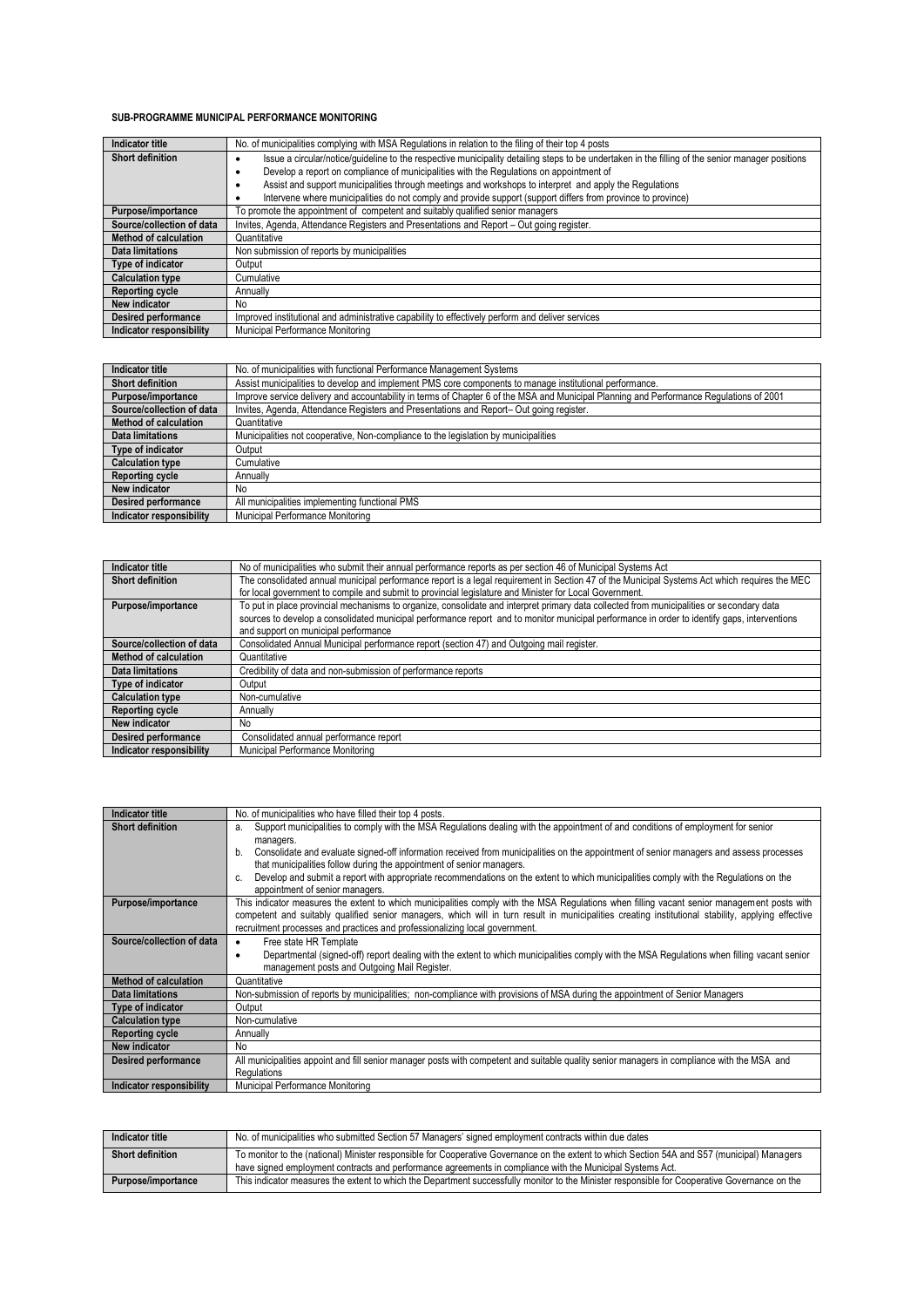#### **SUB-PROGRAMME MUNICIPAL PERFORMANCE MONITORING**

| Indicator title              | No. of municipalities complying with MSA Regulations in relation to the filing of their top 4 posts                                              |
|------------------------------|--------------------------------------------------------------------------------------------------------------------------------------------------|
| <b>Short definition</b>      | Issue a circular/notice/quideline to the respective municipality detailing steps to be undertaken in the filling of the senior manager positions |
|                              | Develop a report on compliance of municipalities with the Regulations on appointment of<br>٠                                                     |
|                              | Assist and support municipalities through meetings and workshops to interpret and apply the Regulations                                          |
|                              | Intervene where municipalities do not comply and provide support (support differs from province to province)                                     |
| Purpose/importance           | To promote the appointment of competent and suitably qualified senior managers                                                                   |
| Source/collection of data    | Invites, Agenda, Attendance Registers and Presentations and Report - Out going register.                                                         |
| <b>Method of calculation</b> | Quantitative                                                                                                                                     |
| <b>Data limitations</b>      | Non submission of reports by municipalities                                                                                                      |
| Type of indicator            | Output                                                                                                                                           |
| <b>Calculation type</b>      | Cumulative                                                                                                                                       |
| Reporting cycle              | Annually                                                                                                                                         |
| New indicator                | No                                                                                                                                               |
| <b>Desired performance</b>   | Improved institutional and administrative capability to effectively perform and deliver services                                                 |
| Indicator responsibility     | Municipal Performance Monitoring                                                                                                                 |

| Indicator title              | No. of municipalities with functional Performance Management Systems                                                                    |
|------------------------------|-----------------------------------------------------------------------------------------------------------------------------------------|
| <b>Short definition</b>      | Assist municipalities to develop and implement PMS core components to manage institutional performance.                                 |
| Purpose/importance           | Improve service delivery and accountability in terms of Chapter 6 of the MSA and Municipal Planning and Performance Regulations of 2001 |
| Source/collection of data    | Invites, Agenda, Attendance Registers and Presentations and Report-Out going register.                                                  |
| <b>Method of calculation</b> | Quantitative                                                                                                                            |
| <b>Data limitations</b>      | Municipalities not cooperative, Non-compliance to the legislation by municipalities                                                     |
| Type of indicator            | Output                                                                                                                                  |
| <b>Calculation type</b>      | Cumulative                                                                                                                              |
| <b>Reporting cycle</b>       | Annually                                                                                                                                |
| <b>New indicator</b>         | No.                                                                                                                                     |
| <b>Desired performance</b>   | All municipalities implementing functional PMS                                                                                          |
| Indicator responsibility     | Municipal Performance Monitoring                                                                                                        |

| Indicator title              | No of municipalities who submit their annual performance reports as per section 46 of Municipal Systems Act                                   |
|------------------------------|-----------------------------------------------------------------------------------------------------------------------------------------------|
| <b>Short definition</b>      | The consolidated annual municipal performance report is a legal requirement in Section 47 of the Municipal Systems Act which requires the MEC |
|                              | for local government to compile and submit to provincial legislature and Minister for Local Government.                                       |
| Purpose/importance           | To put in place provincial mechanisms to organize, consolidate and interpret primary data collected from municipalities or secondary data     |
|                              | sources to develop a consolidated municipal performance report and to monitor municipal performance in order to identify gaps, interventions  |
|                              | and support on municipal performance                                                                                                          |
| Source/collection of data    | Consolidated Annual Municipal performance report (section 47) and Outgoing mail register.                                                     |
| <b>Method of calculation</b> | Quantitative                                                                                                                                  |
| Data limitations             | Credibility of data and non-submission of performance reports                                                                                 |
| Type of indicator            | Output                                                                                                                                        |
| <b>Calculation type</b>      | Non-cumulative                                                                                                                                |
| <b>Reporting cycle</b>       | Annually                                                                                                                                      |
| New indicator                | No                                                                                                                                            |
| <b>Desired performance</b>   | Consolidated annual performance report                                                                                                        |
| Indicator responsibility     | Municipal Performance Monitoring                                                                                                              |

| Indicator title              | No. of municipalities who have filled their top 4 posts.                                                                                           |
|------------------------------|----------------------------------------------------------------------------------------------------------------------------------------------------|
| <b>Short definition</b>      | Support municipalities to comply with the MSA Requlations dealing with the appointment of and conditions of employment for senior<br>a.            |
|                              | managers.                                                                                                                                          |
|                              | Consolidate and evaluate signed-off information received from municipalities on the appointment of senior managers and assess processes<br>b.      |
|                              | that municipalities follow during the appointment of senior managers.                                                                              |
|                              | Develop and submit a report with appropriate recommendations on the extent to which municipalities comply with the Regulations on the<br>c.        |
|                              | appointment of senior managers.                                                                                                                    |
| Purpose/importance           | This indicator measures the extent to which municipalities comply with the MSA Regulations when filling vacant senior management posts with        |
|                              | competent and suitably qualified senior managers, which will in turn result in municipalities creating institutional stability, applying effective |
|                              | recruitment processes and practices and professionalizing local government.                                                                        |
| Source/collection of data    | Free state HR Template<br>٠                                                                                                                        |
|                              | Departmental (signed-off) report dealing with the extent to which municipalities comply with the MSA Regulations when filling vacant senior<br>٠   |
|                              | management posts and Outgoing Mail Register.                                                                                                       |
| <b>Method of calculation</b> | Quantitative                                                                                                                                       |
| <b>Data limitations</b>      | Non-submission of reports by municipalities; non-compliance with provisions of MSA during the appointment of Senior Managers                       |
| Type of indicator            | Output                                                                                                                                             |
| <b>Calculation type</b>      | Non-cumulative                                                                                                                                     |
| <b>Reporting cycle</b>       | Annually                                                                                                                                           |
| New indicator                | <b>No</b>                                                                                                                                          |
| <b>Desired performance</b>   | All municipalities appoint and fill senior manager posts with competent and suitable quality senior managers in compliance with the MSA and        |
|                              | Regulations                                                                                                                                        |
| Indicator responsibility     | Municipal Performance Monitoring                                                                                                                   |

| Indicator title         | No. of municipalities who submitted Section 57 Managers' signed employment contracts within due dates                                                                                                                                                     |
|-------------------------|-----------------------------------------------------------------------------------------------------------------------------------------------------------------------------------------------------------------------------------------------------------|
| <b>Short definition</b> | To monitor to the (national) Minister responsible for Cooperative Governance on the extent to which Section 54A and S57 (municipal) Managers<br>have signed employment contracts and performance agreements in compliance with the Municipal Systems Act. |
| Purpose/importance      | This indicator measures the extent to which the Department successfully monitor to the Minister responsible for Cooperative Governance on the                                                                                                             |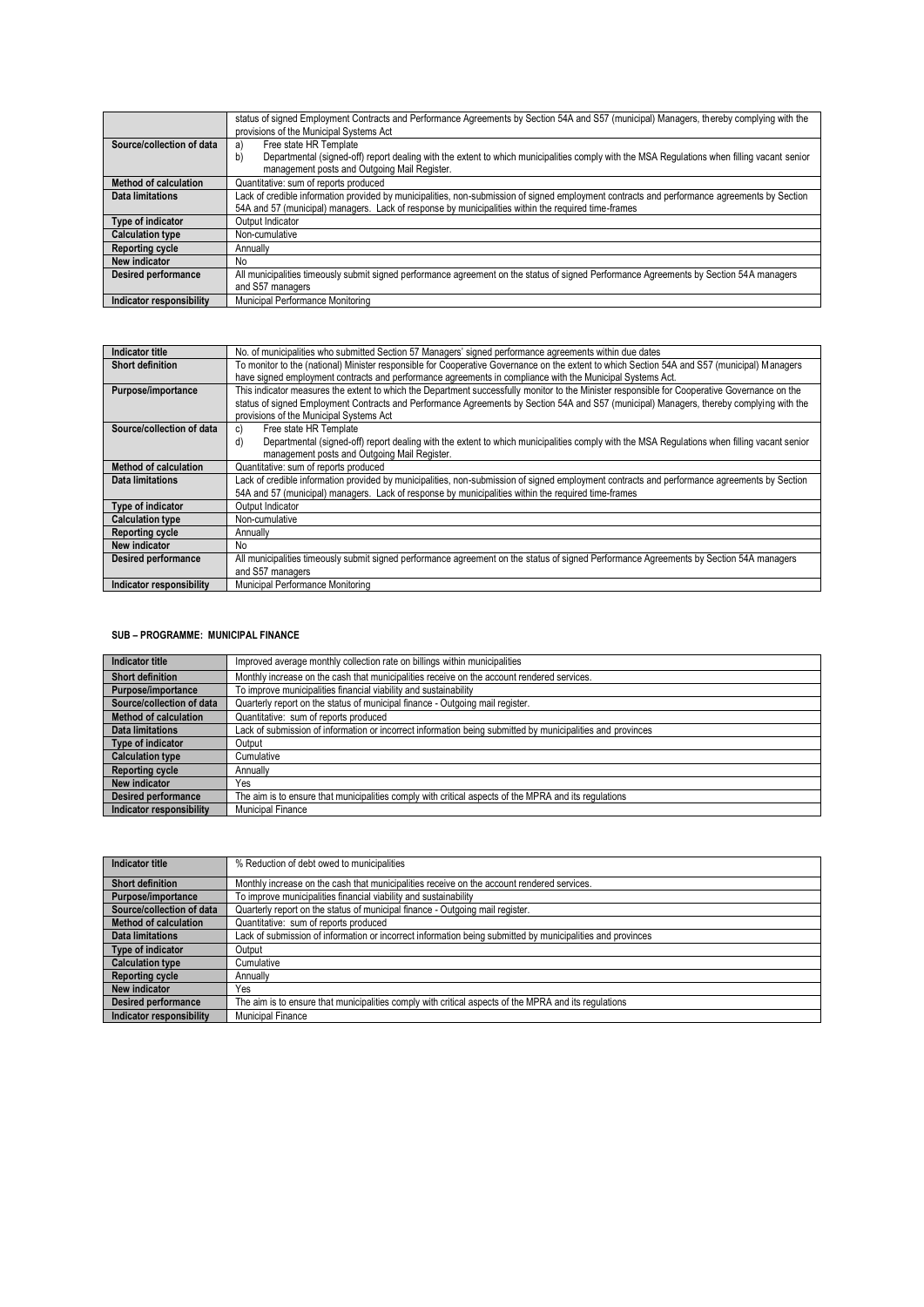|                            | status of signed Employment Contracts and Performance Agreements by Section 54A and S57 (municipal) Managers, thereby complying with the<br>provisions of the Municipal Systems Act |
|----------------------------|-------------------------------------------------------------------------------------------------------------------------------------------------------------------------------------|
| Source/collection of data  | Free state HR Template<br>a<br>Departmental (signed-off) report dealing with the extent to which municipalities comply with the MSA Regulations when filling vacant senior<br>b)    |
|                            | management posts and Outgoing Mail Register.                                                                                                                                        |
| Method of calculation      | Quantitative: sum of reports produced                                                                                                                                               |
| Data limitations           | Lack of credible information provided by municipalities, non-submission of signed employment contracts and performance agreements by Section                                        |
|                            | 54A and 57 (municipal) managers. Lack of response by municipalities within the required time-frames                                                                                 |
| Type of indicator          | Output Indicator                                                                                                                                                                    |
| <b>Calculation type</b>    | Non-cumulative                                                                                                                                                                      |
| <b>Reporting cycle</b>     | Annually                                                                                                                                                                            |
| New indicator              | No.                                                                                                                                                                                 |
| <b>Desired performance</b> | All municipalities timeously submit signed performance agreement on the status of signed Performance Agreements by Section 54A managers                                             |
|                            | and S57 managers                                                                                                                                                                    |
| Indicator responsibility   | Municipal Performance Monitoring                                                                                                                                                    |

| Indicator title            | No. of municipalities who submitted Section 57 Managers' signed performance agreements within due dates                                           |
|----------------------------|---------------------------------------------------------------------------------------------------------------------------------------------------|
| <b>Short definition</b>    | To monitor to the (national) Minister responsible for Cooperative Governance on the extent to which Section 54A and S57 (municipal) Managers      |
|                            | have signed employment contracts and performance agreements in compliance with the Municipal Systems Act.                                         |
| Purpose/importance         | This indicator measures the extent to which the Department successfully monitor to the Minister responsible for Cooperative Governance on the     |
|                            | status of signed Employment Contracts and Performance Agreements by Section 54A and S57 (municipal) Managers, thereby complying with the          |
|                            | provisions of the Municipal Systems Act                                                                                                           |
| Source/collection of data  | Free state HR Template<br>C)                                                                                                                      |
|                            | Departmental (signed-off) report dealing with the extent to which municipalities comply with the MSA Regulations when filling vacant senior<br>d) |
|                            | management posts and Outgoing Mail Register.                                                                                                      |
| Method of calculation      | Quantitative: sum of reports produced                                                                                                             |
| <b>Data limitations</b>    | Lack of credible information provided by municipalities, non-submission of signed employment contracts and performance agreements by Section      |
|                            | 54A and 57 (municipal) managers. Lack of response by municipalities within the required time-frames                                               |
| Type of indicator          | Output Indicator                                                                                                                                  |
| <b>Calculation type</b>    | Non-cumulative                                                                                                                                    |
| <b>Reporting cycle</b>     | Annually                                                                                                                                          |
| New indicator              | No.                                                                                                                                               |
| <b>Desired performance</b> | All municipalities timeously submit signed performance agreement on the status of signed Performance Agreements by Section 54A managers           |
|                            | and S57 managers                                                                                                                                  |
| Indicator responsibility   | Municipal Performance Monitoring                                                                                                                  |

#### **SUB – PROGRAMME: MUNICIPAL FINANCE**

| Indicator title              | Improved average monthly collection rate on billings within municipalities                                 |
|------------------------------|------------------------------------------------------------------------------------------------------------|
| <b>Short definition</b>      | Monthly increase on the cash that municipalities receive on the account rendered services.                 |
| Purpose/importance           | To improve municipalities financial viability and sustainability                                           |
| Source/collection of data    | Quarterly report on the status of municipal finance - Outgoing mail register.                              |
| <b>Method of calculation</b> | Quantitative: sum of reports produced                                                                      |
| <b>Data limitations</b>      | Lack of submission of information or incorrect information being submitted by municipalities and provinces |
| Type of indicator            | Output                                                                                                     |
| <b>Calculation type</b>      | Cumulative                                                                                                 |
| <b>Reporting cycle</b>       | Annually                                                                                                   |
| New indicator                | Yes                                                                                                        |
| <b>Desired performance</b>   | The aim is to ensure that municipalities comply with critical aspects of the MPRA and its regulations      |
| Indicator responsibility     | <b>Municipal Finance</b>                                                                                   |

| Indicator title                 | % Reduction of debt owed to municipalities                                                                 |
|---------------------------------|------------------------------------------------------------------------------------------------------------|
| <b>Short definition</b>         | Monthly increase on the cash that municipalities receive on the account rendered services.                 |
| Purpose/importance              | To improve municipalities financial viability and sustainability                                           |
| Source/collection of data       | Quarterly report on the status of municipal finance - Outgoing mail register.                              |
| Method of calculation           | Quantitative: sum of reports produced                                                                      |
| <b>Data limitations</b>         | Lack of submission of information or incorrect information being submitted by municipalities and provinces |
| Type of indicator               | Output                                                                                                     |
| <b>Calculation type</b>         | Cumulative                                                                                                 |
| <b>Reporting cycle</b>          | Annually                                                                                                   |
| New indicator                   | Yes                                                                                                        |
| <b>Desired performance</b>      | The aim is to ensure that municipalities comply with critical aspects of the MPRA and its regulations      |
| <b>Indicator responsibility</b> | Municipal Finance                                                                                          |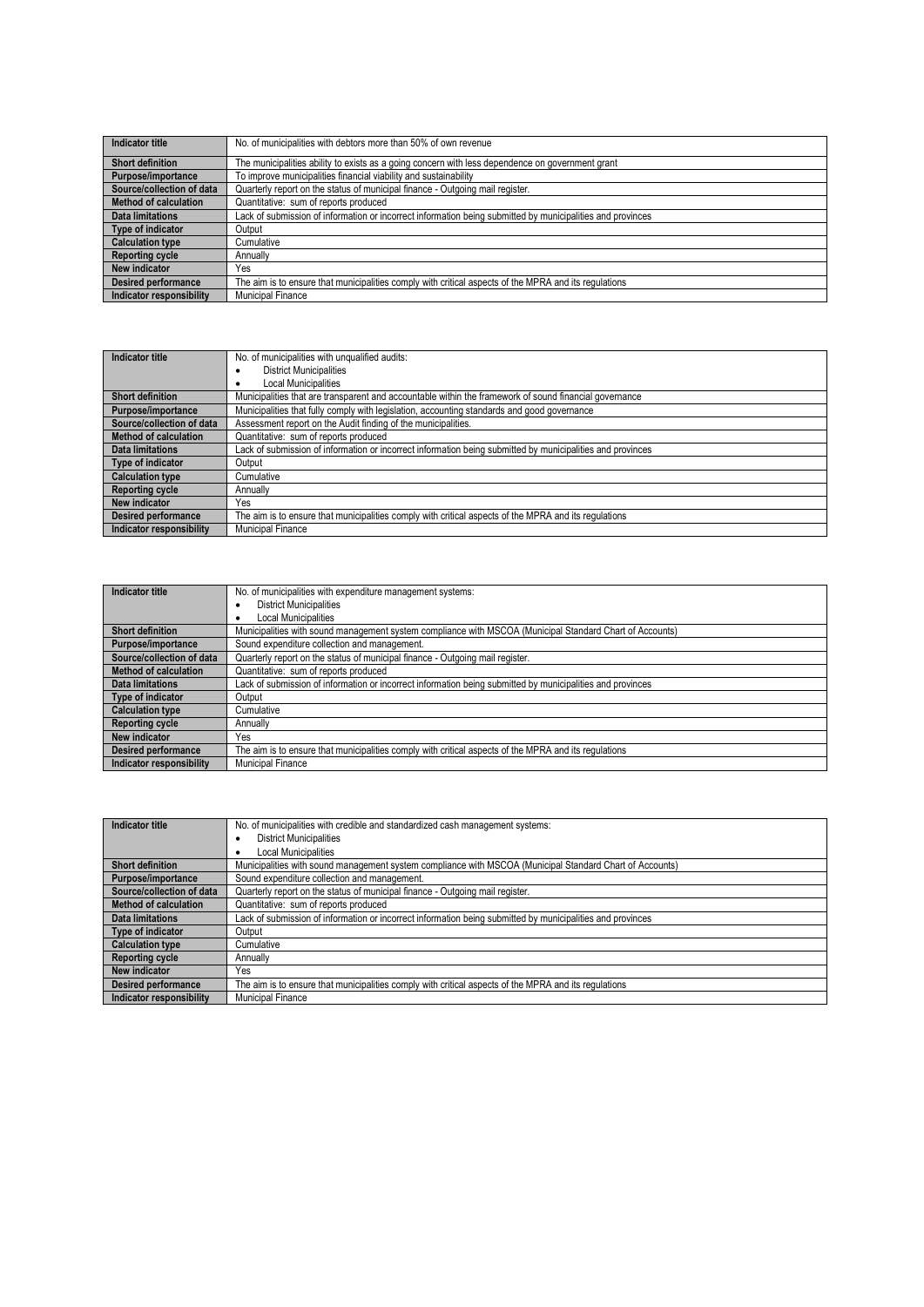| Indicator title              | No. of municipalities with debtors more than 50% of own revenue                                            |
|------------------------------|------------------------------------------------------------------------------------------------------------|
| <b>Short definition</b>      | The municipalities ability to exists as a going concern with less dependence on government grant           |
| Purpose/importance           | To improve municipalities financial viability and sustainability                                           |
| Source/collection of data    | Quarterly report on the status of municipal finance - Outgoing mail register.                              |
| <b>Method of calculation</b> | Quantitative: sum of reports produced                                                                      |
| <b>Data limitations</b>      | Lack of submission of information or incorrect information being submitted by municipalities and provinces |
| Type of indicator            | Output                                                                                                     |
| <b>Calculation type</b>      | Cumulative                                                                                                 |
| <b>Reporting cycle</b>       | Annually                                                                                                   |
| <b>New indicator</b>         | Yes                                                                                                        |
| <b>Desired performance</b>   | The aim is to ensure that municipalities comply with critical aspects of the MPRA and its requlations      |
| Indicator responsibility     | <b>Municipal Finance</b>                                                                                   |

| Indicator title            | No. of municipalities with unqualified audits:                                                             |
|----------------------------|------------------------------------------------------------------------------------------------------------|
|                            | <b>District Municipalities</b><br>٠                                                                        |
|                            | <b>Local Municipalities</b>                                                                                |
| <b>Short definition</b>    | Municipalities that are transparent and accountable within the framework of sound financial governance     |
| Purpose/importance         | Municipalities that fully comply with legislation, accounting standards and good governance                |
| Source/collection of data  | Assessment report on the Audit finding of the municipalities.                                              |
| Method of calculation      | Quantitative: sum of reports produced                                                                      |
| <b>Data limitations</b>    | Lack of submission of information or incorrect information being submitted by municipalities and provinces |
| Type of indicator          | Output                                                                                                     |
| <b>Calculation type</b>    | Cumulative                                                                                                 |
| <b>Reporting cycle</b>     | Annually                                                                                                   |
| New indicator              | Yes                                                                                                        |
| <b>Desired performance</b> | The aim is to ensure that municipalities comply with critical aspects of the MPRA and its requlations      |
| Indicator responsibility   | Municipal Finance                                                                                          |

| Indicator title              | No. of municipalities with expenditure management systems:                                                 |
|------------------------------|------------------------------------------------------------------------------------------------------------|
|                              | <b>District Municipalities</b>                                                                             |
|                              | <b>Local Municipalities</b>                                                                                |
| <b>Short definition</b>      | Municipalities with sound management system compliance with MSCOA (Municipal Standard Chart of Accounts)   |
| Purpose/importance           | Sound expenditure collection and management.                                                               |
| Source/collection of data    | Quarterly report on the status of municipal finance - Outgoing mail register.                              |
| <b>Method of calculation</b> | Quantitative: sum of reports produced                                                                      |
| Data limitations             | Lack of submission of information or incorrect information being submitted by municipalities and provinces |
| Type of indicator            | Output                                                                                                     |
| <b>Calculation type</b>      | Cumulative                                                                                                 |
| <b>Reporting cycle</b>       | Annually                                                                                                   |
| New indicator                | Yes                                                                                                        |
| <b>Desired performance</b>   | The aim is to ensure that municipalities comply with critical aspects of the MPRA and its regulations      |
| Indicator responsibility     | <b>Municipal Finance</b>                                                                                   |

| Indicator title              | No. of municipalities with credible and standardized cash management systems:                              |
|------------------------------|------------------------------------------------------------------------------------------------------------|
|                              | <b>District Municipalities</b><br>٠                                                                        |
|                              | Local Municipalities                                                                                       |
| <b>Short definition</b>      | Municipalities with sound management system compliance with MSCOA (Municipal Standard Chart of Accounts)   |
| Purpose/importance           | Sound expenditure collection and management.                                                               |
| Source/collection of data    | Quarterly report on the status of municipal finance - Outgoing mail register.                              |
| <b>Method of calculation</b> | Quantitative: sum of reports produced                                                                      |
| <b>Data limitations</b>      | Lack of submission of information or incorrect information being submitted by municipalities and provinces |
| Type of indicator            | Output                                                                                                     |
| <b>Calculation type</b>      | Cumulative                                                                                                 |
| <b>Reporting cycle</b>       | Annually                                                                                                   |
| New indicator                | Yes                                                                                                        |
| <b>Desired performance</b>   | The aim is to ensure that municipalities comply with critical aspects of the MPRA and its regulations      |
| Indicator responsibility     | <b>Municipal Finance</b>                                                                                   |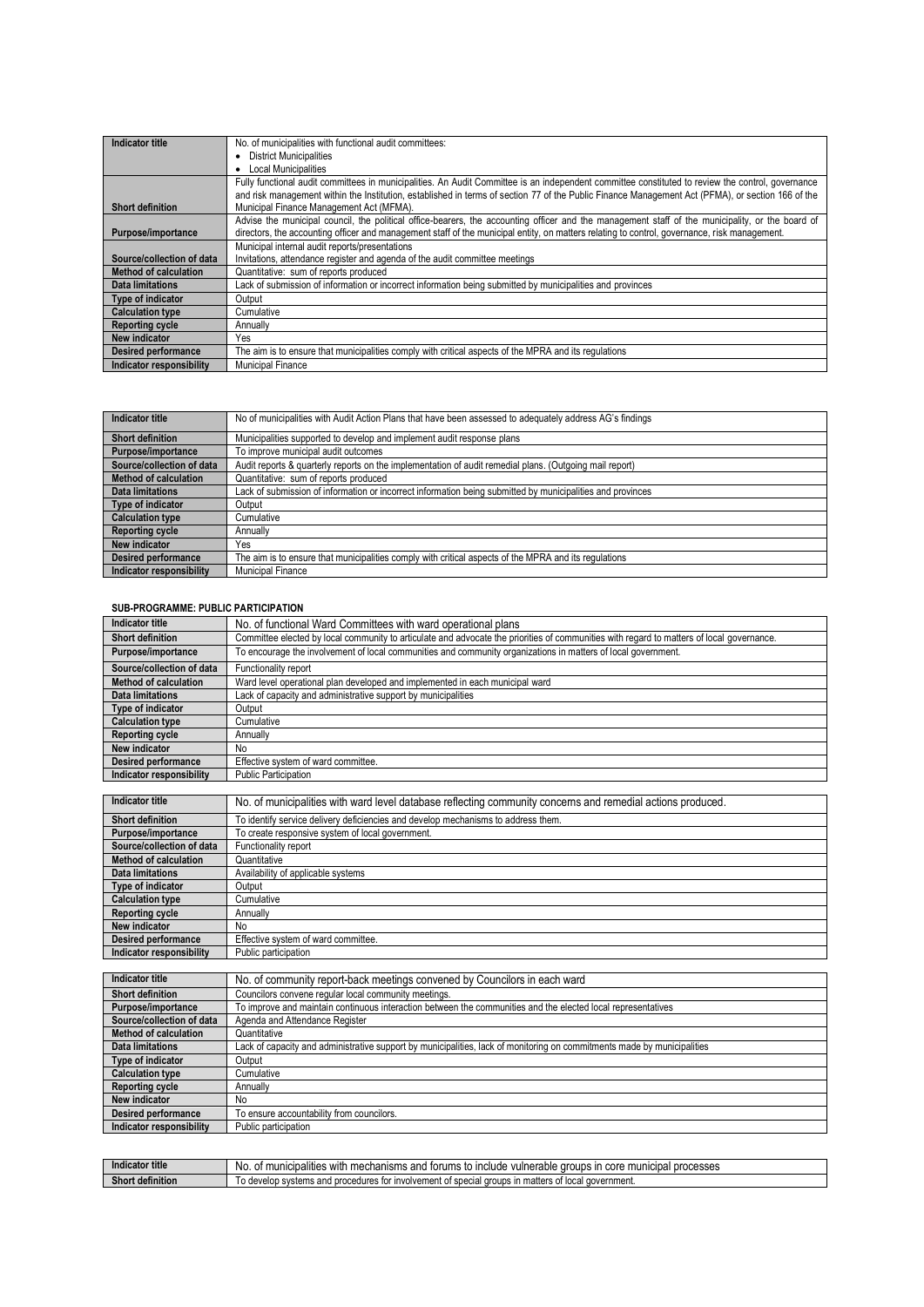| Indicator title              | No. of municipalities with functional audit committees:                                                                                           |
|------------------------------|---------------------------------------------------------------------------------------------------------------------------------------------------|
|                              | • District Municipalities                                                                                                                         |
|                              | • Local Municipalities                                                                                                                            |
|                              | Fully functional audit committees in municipalities. An Audit Committee is an independent committee constituted to review the control, governance |
|                              | and risk management within the Institution, established in terms of section 77 of the Public Finance Management Act (PFMA), or section 166 of the |
| <b>Short definition</b>      | Municipal Finance Management Act (MFMA).                                                                                                          |
|                              | Advise the municipal council, the political office-bearers, the accounting officer and the management staff of the municipality, or the board of  |
| Purpose/importance           | directors, the accounting officer and management staff of the municipal entity, on matters relating to control, governance, risk management.      |
|                              | Municipal internal audit reports/presentations                                                                                                    |
| Source/collection of data    | Invitations, attendance register and agenda of the audit committee meetings                                                                       |
| <b>Method of calculation</b> | Quantitative: sum of reports produced                                                                                                             |
| <b>Data limitations</b>      | Lack of submission of information or incorrect information being submitted by municipalities and provinces                                        |
| Type of indicator            | Output                                                                                                                                            |
| <b>Calculation type</b>      | Cumulative                                                                                                                                        |
| <b>Reporting cycle</b>       | Annually                                                                                                                                          |
| New indicator                | Yes                                                                                                                                               |
| <b>Desired performance</b>   | The aim is to ensure that municipalities comply with critical aspects of the MPRA and its regulations                                             |
| Indicator responsibility     | <b>Municipal Finance</b>                                                                                                                          |

| Indicator title            | No of municipalities with Audit Action Plans that have been assessed to adequately address AG's findings   |
|----------------------------|------------------------------------------------------------------------------------------------------------|
|                            |                                                                                                            |
| <b>Short definition</b>    | Municipalities supported to develop and implement audit response plans                                     |
| Purpose/importance         | To improve municipal audit outcomes                                                                        |
| Source/collection of data  | Audit reports & quarterly reports on the implementation of audit remedial plans. (Outgoing mail report)    |
| Method of calculation      | Quantitative: sum of reports produced                                                                      |
| Data limitations           | Lack of submission of information or incorrect information being submitted by municipalities and provinces |
| Type of indicator          | Output                                                                                                     |
| <b>Calculation type</b>    | Cumulative                                                                                                 |
| <b>Reporting cycle</b>     | Annually                                                                                                   |
| New indicator              | Yes                                                                                                        |
| <b>Desired performance</b> | The aim is to ensure that municipalities comply with critical aspects of the MPRA and its regulations      |
| Indicator responsibility   | <b>Municipal Finance</b>                                                                                   |

### **SUB-PROGRAMME: PUBLIC PARTICIPATION**

| Indicator title                 | No. of functional Ward Committees with ward operational plans                                                                             |
|---------------------------------|-------------------------------------------------------------------------------------------------------------------------------------------|
| <b>Short definition</b>         | Committee elected by local community to articulate and advocate the priorities of communities with regard to matters of local governance. |
| Purpose/importance              | To encourage the involvement of local communities and community organizations in matters of local government.                             |
| Source/collection of data       | Functionality report                                                                                                                      |
| Method of calculation           | Ward level operational plan developed and implemented in each municipal ward                                                              |
| Data limitations                | Lack of capacity and administrative support by municipalities                                                                             |
| Type of indicator               | Output                                                                                                                                    |
| <b>Calculation type</b>         | Cumulative                                                                                                                                |
| <b>Reporting cycle</b>          | Annually                                                                                                                                  |
| New indicator                   | No                                                                                                                                        |
| <b>Desired performance</b>      | Effective system of ward committee.                                                                                                       |
| <b>Indicator responsibility</b> | <b>Public Participation</b>                                                                                                               |

| Indicator title              | No. of municipalities with ward level database reflecting community concerns and remedial actions produced. |
|------------------------------|-------------------------------------------------------------------------------------------------------------|
| Short definition             | To identify service delivery deficiencies and develop mechanisms to address them.                           |
| Purpose/importance           | To create responsive system of local government.                                                            |
| Source/collection of data    | Functionality report                                                                                        |
| <b>Method of calculation</b> | Quantitative                                                                                                |
| <b>Data limitations</b>      | Availability of applicable systems                                                                          |
| Type of indicator            | Output                                                                                                      |
| <b>Calculation type</b>      | Cumulative                                                                                                  |
| <b>Reporting cycle</b>       | Annually                                                                                                    |
| New indicator                | No.                                                                                                         |
| <b>Desired performance</b>   | Effective system of ward committee.                                                                         |
| Indicator responsibility     | Public participation                                                                                        |

| Indicator title            | No. of community report-back meetings convened by Councilors in each ward                                               |
|----------------------------|-------------------------------------------------------------------------------------------------------------------------|
| <b>Short definition</b>    | Councilors convene regular local community meetings.                                                                    |
| Purpose/importance         | To improve and maintain continuous interaction between the communities and the elected local representatives            |
| Source/collection of data  | Agenda and Attendance Register                                                                                          |
| Method of calculation      | Quantitative                                                                                                            |
| Data limitations           | Lack of capacity and administrative support by municipalities, lack of monitoring on commitments made by municipalities |
| Type of indicator          | Output                                                                                                                  |
| <b>Calculation type</b>    | Cumulative                                                                                                              |
| <b>Reporting cycle</b>     | Annually                                                                                                                |
| New indicator              | No.                                                                                                                     |
| <b>Desired performance</b> | To ensure accountability from councilors.                                                                               |
| Indicator responsibility   | Public participation                                                                                                    |

| and and Aldison and the Contract of the Contract of the Contract of the Contract of the Contract of the Contract of the Contract of the Contract of the Contract of the Contract of the Contract of the Contract of the Contra<br>Indicator title | <br>l processes<br>าเรms and<br>nn<br>municip<br>mechan<br>aroups<br>palities<br>mur<br>vulnerable r<br>oor.<br>⊧ forums to<br>NO.<br>inciude<br>WIth<br>OT<br><b>UUIT</b><br>iiuuai |
|---------------------------------------------------------------------------------------------------------------------------------------------------------------------------------------------------------------------------------------------------|--------------------------------------------------------------------------------------------------------------------------------------------------------------------------------------|
| Short<br>$\cdots$<br>t definition                                                                                                                                                                                                                 | matters<br>aovernment.<br>t procedures<br>involvement<br><b>roups</b><br>`∩f specia⊢<br>local<br>tor<br>and<br>develop<br>svstem                                                     |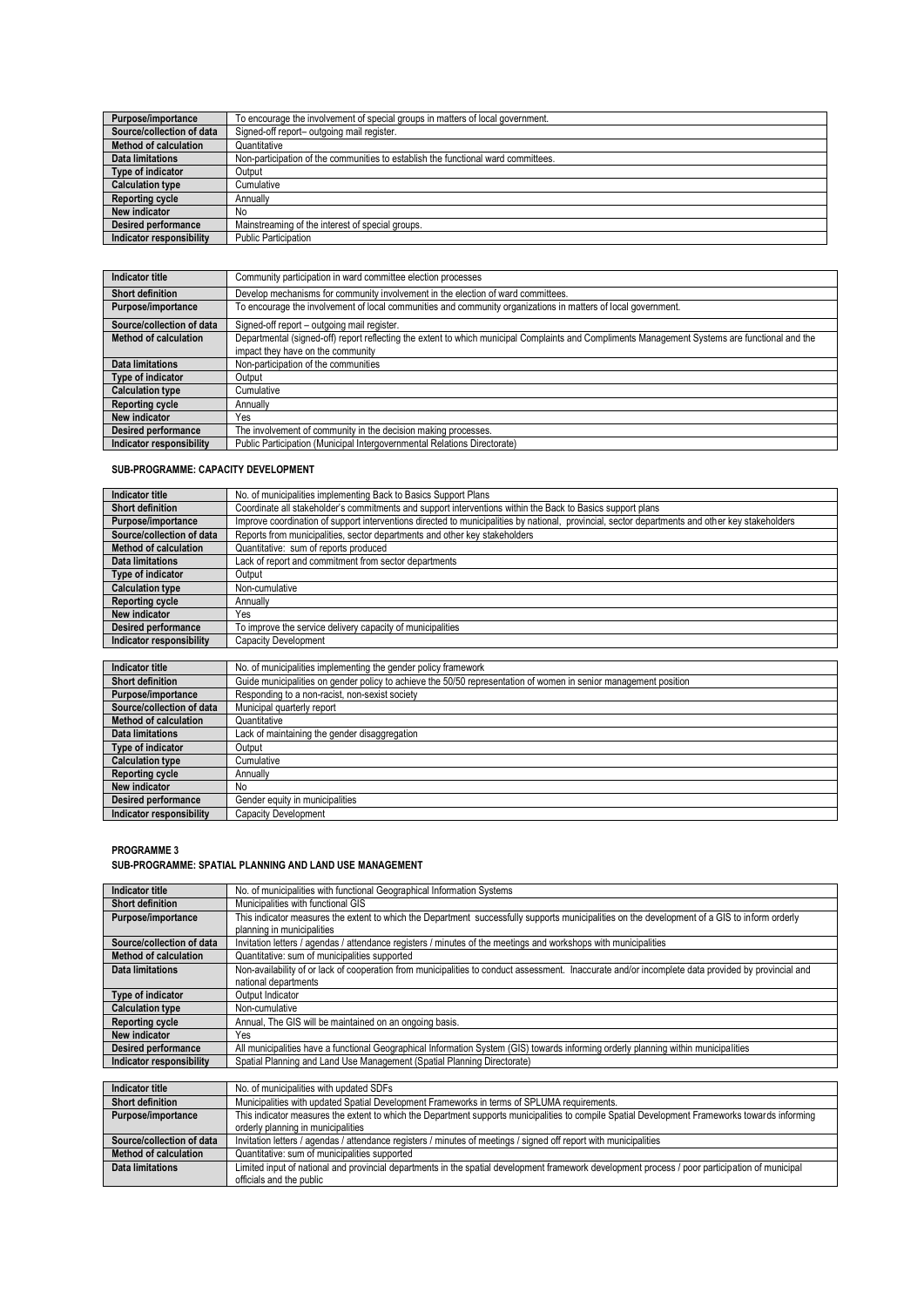| Purpose/importance         | To encourage the involvement of special groups in matters of local government.    |
|----------------------------|-----------------------------------------------------------------------------------|
| Source/collection of data  | Signed-off report- outgoing mail register.                                        |
| Method of calculation      | Quantitative                                                                      |
| <b>Data limitations</b>    | Non-participation of the communities to establish the functional ward committees. |
| Type of indicator          | Output                                                                            |
| <b>Calculation type</b>    | Cumulative                                                                        |
| <b>Reporting cycle</b>     | Annually                                                                          |
| <b>New indicator</b>       | No.                                                                               |
| <b>Desired performance</b> | Mainstreaming of the interest of special groups.                                  |
| Indicator responsibility   | <b>Public Participation</b>                                                       |

| Indicator title           | Community participation in ward committee election processes                                                                                   |
|---------------------------|------------------------------------------------------------------------------------------------------------------------------------------------|
|                           |                                                                                                                                                |
| <b>Short definition</b>   | Develop mechanisms for community involvement in the election of ward committees.                                                               |
| Purpose/importance        | To encourage the involvement of local communities and community organizations in matters of local government.                                  |
| Source/collection of data | Signed-off report - outgoing mail register.                                                                                                    |
| Method of calculation     | Departmental (signed-off) report reflecting the extent to which municipal Complaints and Compliments Management Systems are functional and the |
|                           | impact they have on the community                                                                                                              |
| Data limitations          | Non-participation of the communities                                                                                                           |
| Type of indicator         | Output                                                                                                                                         |
| <b>Calculation type</b>   | Cumulative                                                                                                                                     |
| <b>Reporting cycle</b>    | Annually                                                                                                                                       |
| New indicator             | Yes                                                                                                                                            |
| Desired performance       | The involvement of community in the decision making processes.                                                                                 |
| Indicator responsibility  | Public Participation (Municipal Intergovernmental Relations Directorate)                                                                       |

### **SUB-PROGRAMME: CAPACITY DEVELOPMENT**

| Indicator title              | No. of municipalities implementing Back to Basics Support Plans                                                                                 |
|------------------------------|-------------------------------------------------------------------------------------------------------------------------------------------------|
| <b>Short definition</b>      | Coordinate all stakeholder's commitments and support interventions within the Back to Basics support plans                                      |
| Purpose/importance           | Improve coordination of support interventions directed to municipalities by national, provincial, sector departments and other key stakeholders |
| Source/collection of data    | Reports from municipalities, sector departments and other key stakeholders                                                                      |
| <b>Method of calculation</b> | Quantitative: sum of reports produced                                                                                                           |
| Data limitations             | Lack of report and commitment from sector departments                                                                                           |
| Type of indicator            | Output                                                                                                                                          |
| <b>Calculation type</b>      | Non-cumulative                                                                                                                                  |
| <b>Reporting cycle</b>       | Annually                                                                                                                                        |
| New indicator                | Yes                                                                                                                                             |
| <b>Desired performance</b>   | To improve the service delivery capacity of municipalities                                                                                      |
| Indicator responsibility     | Capacity Development                                                                                                                            |
|                              |                                                                                                                                                 |
| the all a subset of the set  | All and accordate altitude three local contract than the conduction of the effective conduction                                                 |

| Indicator title           | No. of municipalities implementing the gender policy framework                                                   |
|---------------------------|------------------------------------------------------------------------------------------------------------------|
| <b>Short definition</b>   | Guide municipalities on gender policy to achieve the 50/50 representation of women in senior management position |
| Purpose/importance        | Responding to a non-racist, non-sexist society                                                                   |
| Source/collection of data | Municipal quarterly report                                                                                       |
| Method of calculation     | Quantitative                                                                                                     |
| <b>Data limitations</b>   | Lack of maintaining the gender disaggregation                                                                    |
| Type of indicator         | Output                                                                                                           |
| <b>Calculation type</b>   | Cumulative                                                                                                       |
| <b>Reporting cycle</b>    | Annually                                                                                                         |
| New indicator             | No                                                                                                               |
| Desired performance       | Gender equity in municipalities                                                                                  |
| Indicator responsibility  | Capacity Development                                                                                             |

#### **PROGRAMME 3**

# **SUB-PROGRAMME: SPATIAL PLANNING AND LAND USE MANAGEMENT**

| <b>Indicator title</b>       | No. of municipalities with functional Geographical Information Systems                                                                             |
|------------------------------|----------------------------------------------------------------------------------------------------------------------------------------------------|
| <b>Short definition</b>      | Municipalities with functional GIS                                                                                                                 |
| Purpose/importance           | This indicator measures the extent to which the Department successfully supports municipalities on the development of a GIS to inform orderly      |
|                              | planning in municipalities                                                                                                                         |
| Source/collection of data    | Invitation letters / agendas / attendance registers / minutes of the meetings and workshops with municipalities                                    |
| <b>Method of calculation</b> | Quantitative: sum of municipalities supported                                                                                                      |
| Data limitations             | Non-availability of or lack of cooperation from municipalities to conduct assessment. Inaccurate and/or incomplete data provided by provincial and |
|                              | national departments                                                                                                                               |
| Type of indicator            | Output Indicator                                                                                                                                   |
| <b>Calculation type</b>      | Non-cumulative                                                                                                                                     |
| <b>Reporting cycle</b>       | Annual, The GIS will be maintained on an ongoing basis.                                                                                            |
| New indicator                | Yes                                                                                                                                                |
| <b>Desired performance</b>   | All municipalities have a functional Geographical Information System (GIS) towards informing orderly planning within municipalities                |
| Indicator responsibility     | Spatial Planning and Land Use Management (Spatial Planning Directorate)                                                                            |
|                              |                                                                                                                                                    |

| Indicator title           | No. of municipalities with updated SDFs                                                                                                         |
|---------------------------|-------------------------------------------------------------------------------------------------------------------------------------------------|
| <b>Short definition</b>   | Municipalities with updated Spatial Development Frameworks in terms of SPLUMA requirements.                                                     |
| Purpose/importance        | This indicator measures the extent to which the Department supports municipalities to compile Spatial Development Frameworks towards informing  |
|                           | orderly planning in municipalities                                                                                                              |
| Source/collection of data | Invitation letters / agendas / attendance registers / minutes of meetings / signed off report with municipalities                               |
| Method of calculation     | Quantitative: sum of municipalities supported                                                                                                   |
| Data limitations          | Limited input of national and provincial departments in the spatial development framework development process / poor participation of municipal |
|                           | officials and the public                                                                                                                        |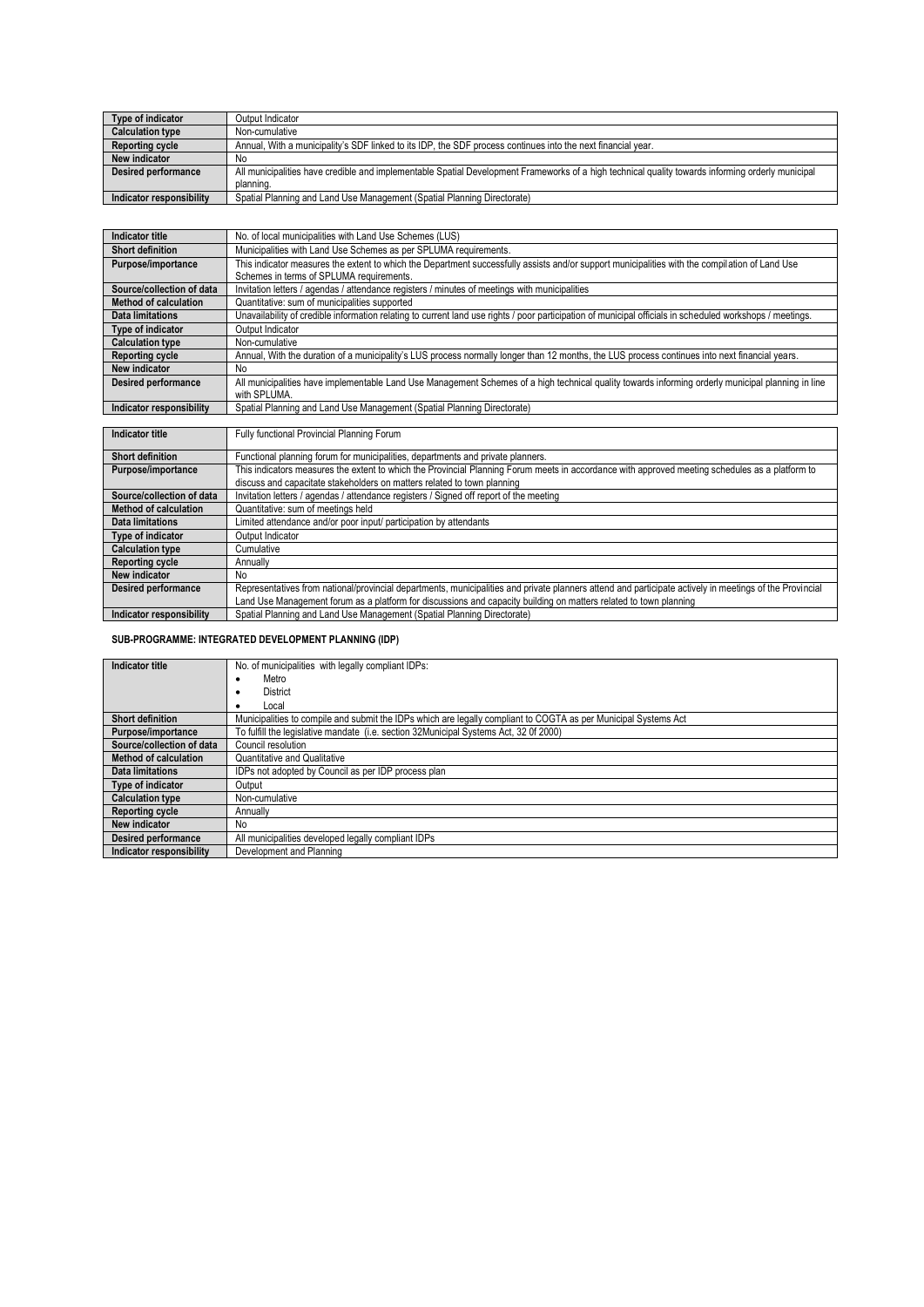| Type of indicator          | Output Indicator                                                                                                                                  |
|----------------------------|---------------------------------------------------------------------------------------------------------------------------------------------------|
| <b>Calculation type</b>    | Non-cumulative                                                                                                                                    |
| <b>Reporting cycle</b>     | Annual, With a municipality's SDF linked to its IDP, the SDF process continues into the next financial year.                                      |
| New indicator              | No                                                                                                                                                |
| <b>Desired performance</b> | All municipalities have credible and implementable Spatial Development Frameworks of a high technical quality towards informing orderly municipal |
|                            | planning.                                                                                                                                         |
| Indicator responsibility   | Spatial Planning and Land Use Management (Spatial Planning Directorate)                                                                           |

| Indicator title              | No. of local municipalities with Land Use Schemes (LUS)                                                                                                   |
|------------------------------|-----------------------------------------------------------------------------------------------------------------------------------------------------------|
|                              |                                                                                                                                                           |
| <b>Short definition</b>      | Municipalities with Land Use Schemes as per SPLUMA requirements.                                                                                          |
| Purpose/importance           | This indicator measures the extent to which the Department successfully assists and/or support municipalities with the compilation of Land Use            |
|                              | Schemes in terms of SPLUMA requirements.                                                                                                                  |
| Source/collection of data    | Invitation letters / agendas / attendance registers / minutes of meetings with municipalities                                                             |
| <b>Method of calculation</b> | Quantitative: sum of municipalities supported                                                                                                             |
| Data limitations             | Unavailability of credible information relating to current land use rights / poor participation of municipal officials in scheduled workshops / meetings. |
| Type of indicator            | Output Indicator                                                                                                                                          |
| <b>Calculation type</b>      | Non-cumulative                                                                                                                                            |
| <b>Reporting cycle</b>       | Annual. With the duration of a municipality's LUS process normally longer than 12 months, the LUS process continues into next financial years.            |
| New indicator                | No.                                                                                                                                                       |
| <b>Desired performance</b>   | All municipalities have implementable Land Use Management Schemes of a high technical quality towards informing orderly municipal planning in line        |
|                              | with SPLUMA.                                                                                                                                              |
| Indicator responsibility     | Spatial Planning and Land Use Management (Spatial Planning Directorate)                                                                                   |

| Indicator title              | Fully functional Provincial Planning Forum                                                                                                              |
|------------------------------|---------------------------------------------------------------------------------------------------------------------------------------------------------|
|                              |                                                                                                                                                         |
| <b>Short definition</b>      | Functional planning forum for municipalities, departments and private planners.                                                                         |
| Purpose/importance           | This indicators measures the extent to which the Provincial Planning Forum meets in accordance with approved meeting schedules as a platform to         |
|                              | discuss and capacitate stakeholders on matters related to town planning                                                                                 |
| Source/collection of data    | Invitation letters / agendas / attendance registers / Signed off report of the meeting                                                                  |
| <b>Method of calculation</b> | Quantitative: sum of meetings held                                                                                                                      |
| <b>Data limitations</b>      | Limited attendance and/or poor input/ participation by attendants                                                                                       |
| Type of indicator            | Output Indicator                                                                                                                                        |
| <b>Calculation type</b>      | Cumulative                                                                                                                                              |
| Reporting cycle              | Annually                                                                                                                                                |
| New indicator                | No.                                                                                                                                                     |
| <b>Desired performance</b>   | Representatives from national/provincial departments, municipalities and private planners attend and participate actively in meetings of the Provincial |
|                              | Land Use Management forum as a platform for discussions and capacity building on matters related to town planning                                       |
| Indicator responsibility     | Spatial Planning and Land Use Management (Spatial Planning Directorate)                                                                                 |

### **SUB-PROGRAMME: INTEGRATED DEVELOPMENT PLANNING (IDP)**

| Indicator title            | No. of municipalities with legally compliant IDPs:                                                              |
|----------------------------|-----------------------------------------------------------------------------------------------------------------|
|                            | Metro                                                                                                           |
|                            | District                                                                                                        |
|                            | Local                                                                                                           |
| <b>Short definition</b>    | Municipalities to compile and submit the IDPs which are legally compliant to COGTA as per Municipal Systems Act |
| Purpose/importance         | To fulfill the legislative mandate (i.e. section 32Municipal Systems Act, 32 0f 2000)                           |
| Source/collection of data  | Council resolution                                                                                              |
| Method of calculation      | Quantitative and Qualitative                                                                                    |
| <b>Data limitations</b>    | IDPs not adopted by Council as per IDP process plan                                                             |
| Type of indicator          | Output                                                                                                          |
| <b>Calculation type</b>    | Non-cumulative                                                                                                  |
| <b>Reporting cycle</b>     | Annually                                                                                                        |
| <b>New indicator</b>       | No                                                                                                              |
| <b>Desired performance</b> | All municipalities developed legally compliant IDPs                                                             |
| Indicator responsibility   | Development and Planning                                                                                        |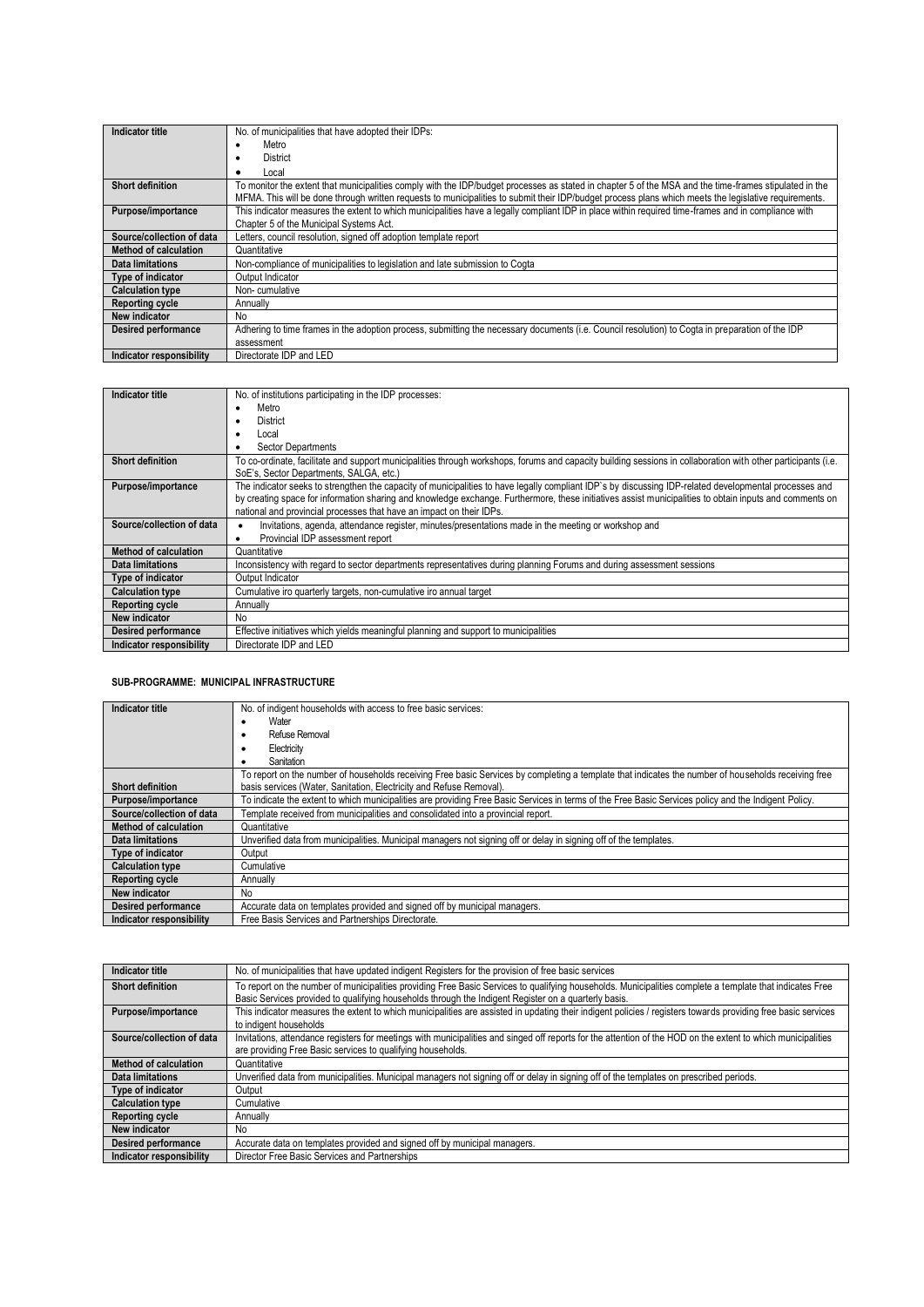| Indicator title            | No. of municipalities that have adopted their IDPs:                                                                                                    |
|----------------------------|--------------------------------------------------------------------------------------------------------------------------------------------------------|
|                            |                                                                                                                                                        |
|                            | Metro                                                                                                                                                  |
|                            | District<br>٠                                                                                                                                          |
|                            | Local                                                                                                                                                  |
| <b>Short definition</b>    | To monitor the extent that municipalities comply with the IDP/budget processes as stated in chapter 5 of the MSA and the time-frames stipulated in the |
|                            | MFMA. This will be done through written requests to municipalities to submit their IDP/budget process plans which meets the legislative requirements.  |
| Purpose/importance         | This indicator measures the extent to which municipalities have a legally compliant IDP in place within required time-frames and in compliance with    |
|                            | Chapter 5 of the Municipal Systems Act.                                                                                                                |
| Source/collection of data  | Letters, council resolution, signed off adoption template report                                                                                       |
| Method of calculation      | Quantitative                                                                                                                                           |
| Data limitations           | Non-compliance of municipalities to legislation and late submission to Cogta                                                                           |
| <b>Type of indicator</b>   | Output Indicator                                                                                                                                       |
| <b>Calculation type</b>    | Non-cumulative                                                                                                                                         |
| <b>Reporting cycle</b>     | Annually                                                                                                                                               |
| New indicator              | No                                                                                                                                                     |
| <b>Desired performance</b> | Adhering to time frames in the adoption process, submitting the necessary documents (i.e. Council resolution) to Cogta in preparation of the IDP       |
|                            | assessment                                                                                                                                             |
| Indicator responsibility   | Directorate IDP and LED                                                                                                                                |

| Indicator title            | No. of institutions participating in the IDP processes:                                                                                                       |
|----------------------------|---------------------------------------------------------------------------------------------------------------------------------------------------------------|
|                            | Metro<br>٠                                                                                                                                                    |
|                            | District<br>٠                                                                                                                                                 |
|                            | Local                                                                                                                                                         |
|                            | Sector Departments                                                                                                                                            |
| <b>Short definition</b>    | To co-ordinate, facilitate and support municipalities through workshops, forums and capacity building sessions in collaboration with other participants (i.e. |
|                            | SoE's, Sector Departments, SALGA, etc.)                                                                                                                       |
| Purpose/importance         | The indicator seeks to strengthen the capacity of municipalities to have legally compliant IDP's by discussing IDP-related developmental processes and        |
|                            | by creating space for information sharing and knowledge exchange. Furthermore, these initiatives assist municipalities to obtain inputs and comments on       |
|                            | national and provincial processes that have an impact on their IDPs.                                                                                          |
| Source/collection of data  | Invitations, agenda, attendance register, minutes/presentations made in the meeting or workshop and                                                           |
|                            | Provincial IDP assessment report<br>٠                                                                                                                         |
| Method of calculation      | Quantitative                                                                                                                                                  |
| Data limitations           | Inconsistency with regard to sector departments representatives during planning Forums and during assessment sessions                                         |
| <b>Type of indicator</b>   | Output Indicator                                                                                                                                              |
| <b>Calculation type</b>    | Cumulative iro quarterly targets, non-cumulative iro annual target                                                                                            |
| <b>Reporting cycle</b>     | Annually                                                                                                                                                      |
| New indicator              | No.                                                                                                                                                           |
| <b>Desired performance</b> | Effective initiatives which yields meaningful planning and support to municipalities                                                                          |
| Indicator responsibility   | Directorate IDP and LED                                                                                                                                       |

### **SUB-PROGRAMME: MUNICIPAL INFRASTRUCTURE**

| Indicator title                 | No. of indigent households with access to free basic services:                                                                                       |
|---------------------------------|------------------------------------------------------------------------------------------------------------------------------------------------------|
|                                 | Water                                                                                                                                                |
|                                 | Refuse Removal                                                                                                                                       |
|                                 | Electricity                                                                                                                                          |
|                                 | Sanitation                                                                                                                                           |
|                                 | To report on the number of households receiving Free basic Services by completing a template that indicates the number of households receiving free  |
| <b>Short definition</b>         | basis services (Water, Sanitation, Electricity and Refuse Removal).                                                                                  |
| Purpose/importance              | To indicate the extent to which municipalities are providing Free Basic Services in terms of the Free Basic Services policy and the Indigent Policy. |
| Source/collection of data       | Template received from municipalities and consolidated into a provincial report.                                                                     |
| <b>Method of calculation</b>    | Quantitative                                                                                                                                         |
| Data limitations                | Unverified data from municipalities. Municipal managers not signing off or delay in signing off of the templates.                                    |
| Type of indicator               | Output                                                                                                                                               |
| <b>Calculation type</b>         | Cumulative                                                                                                                                           |
| <b>Reporting cycle</b>          | Annually                                                                                                                                             |
| New indicator                   | No                                                                                                                                                   |
| Desired performance             | Accurate data on templates provided and signed off by municipal managers.                                                                            |
| <b>Indicator responsibility</b> | Free Basis Services and Partnerships Directorate.                                                                                                    |

| Indicator title            | No. of municipalities that have updated indigent Registers for the provision of free basic services                                                                                                                                                              |
|----------------------------|------------------------------------------------------------------------------------------------------------------------------------------------------------------------------------------------------------------------------------------------------------------|
| <b>Short definition</b>    | To report on the number of municipalities providing Free Basic Services to qualifying households. Municipalities complete a template that indicates Free<br>Basic Services provided to qualifying households through the Indigent Register on a quarterly basis. |
| Purpose/importance         | This indicator measures the extent to which municipalities are assisted in updating their indigent policies / registers towards providing free basic services<br>to indigent households                                                                          |
| Source/collection of data  | Invitations, attendance registers for meetings with municipalities and singed off reports for the attention of the HOD on the extent to which municipalities<br>are providing Free Basic services to qualifying households.                                      |
| Method of calculation      | Quantitative                                                                                                                                                                                                                                                     |
| <b>Data limitations</b>    | Unverified data from municipalities. Municipal managers not signing off or delay in signing off of the templates on prescribed periods.                                                                                                                          |
| Type of indicator          | Output                                                                                                                                                                                                                                                           |
| <b>Calculation type</b>    | Cumulative                                                                                                                                                                                                                                                       |
| <b>Reporting cycle</b>     | Annually                                                                                                                                                                                                                                                         |
| New indicator              | No                                                                                                                                                                                                                                                               |
| <b>Desired performance</b> | Accurate data on templates provided and signed off by municipal managers.                                                                                                                                                                                        |
| Indicator responsibility   | Director Free Basic Services and Partnerships                                                                                                                                                                                                                    |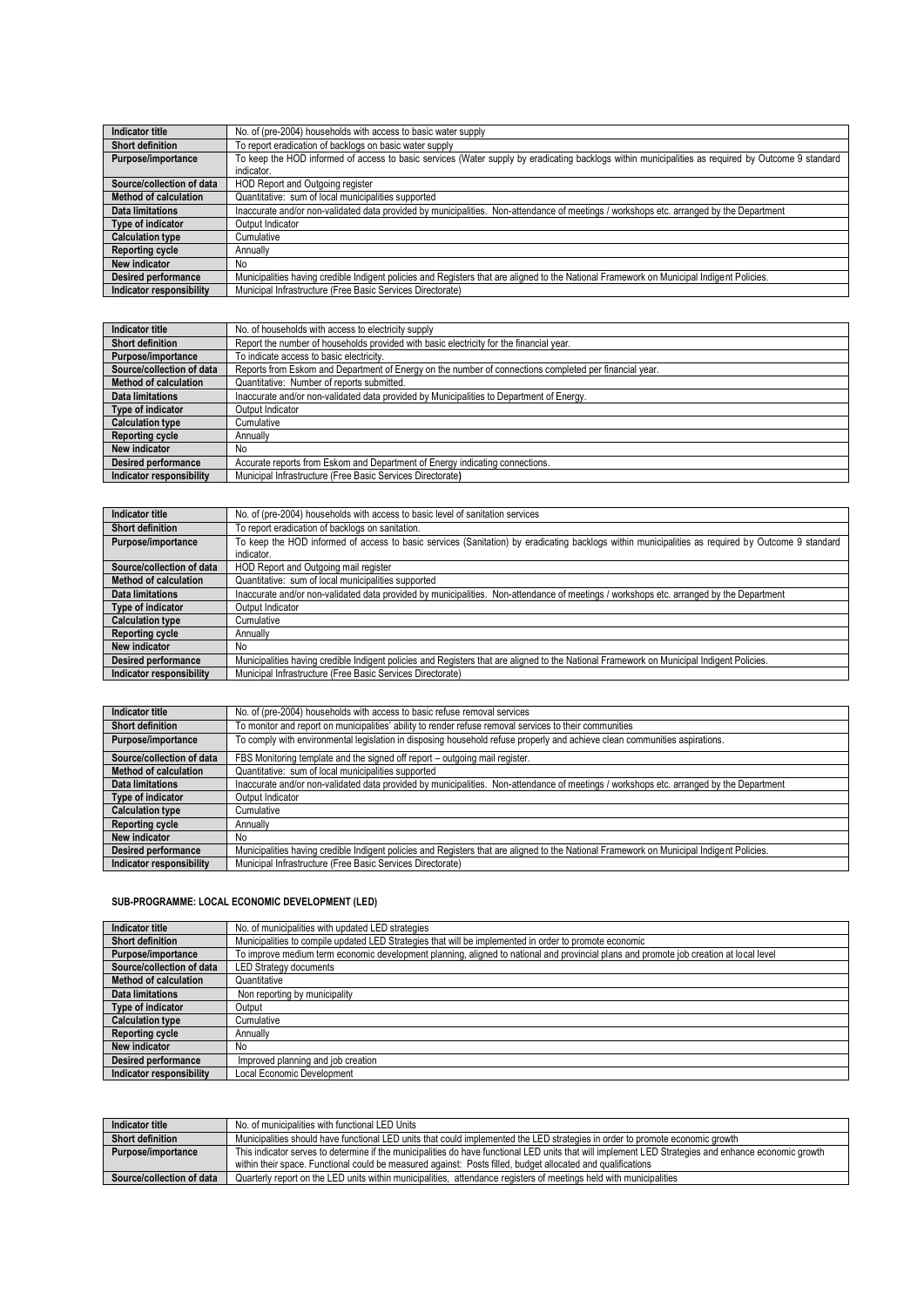| Indicator title              | No. of (pre-2004) households with access to basic water supply                                                                                     |
|------------------------------|----------------------------------------------------------------------------------------------------------------------------------------------------|
| <b>Short definition</b>      | To report eradication of backlogs on basic water supply                                                                                            |
| Purpose/importance           | To keep the HOD informed of access to basic services (Water supply by eradicating backlogs within municipalities as required by Outcome 9 standard |
|                              | indicator.                                                                                                                                         |
| Source/collection of data    | HOD Report and Outgoing register                                                                                                                   |
| <b>Method of calculation</b> | Quantitative: sum of local municipalities supported                                                                                                |
| <b>Data limitations</b>      | Inaccurate and/or non-validated data provided by municipalities. Non-attendance of meetings / workshops etc. arranged by the Department            |
| <b>Type of indicator</b>     | Output Indicator                                                                                                                                   |
| <b>Calculation type</b>      | Cumulative                                                                                                                                         |
| Reporting cycle              | Annually                                                                                                                                           |
| New indicator                | No                                                                                                                                                 |
| Desired performance          | Municipalities having credible Indigent policies and Registers that are aligned to the National Framework on Municipal Indigent Policies.          |
| Indicator responsibility     | Municipal Infrastructure (Free Basic Services Directorate)                                                                                         |

| Indicator title            | No. of households with access to electricity supply                                                    |
|----------------------------|--------------------------------------------------------------------------------------------------------|
| <b>Short definition</b>    | Report the number of households provided with basic electricity for the financial year.                |
| Purpose/importance         | To indicate access to basic electricity.                                                               |
| Source/collection of data  | Reports from Eskom and Department of Energy on the number of connections completed per financial year. |
| Method of calculation      | Quantitative: Number of reports submitted.                                                             |
| Data limitations           | Inaccurate and/or non-validated data provided by Municipalities to Department of Energy.               |
| Type of indicator          | Output Indicator                                                                                       |
| <b>Calculation type</b>    | Cumulative                                                                                             |
| <b>Reporting cycle</b>     | Annually                                                                                               |
| New indicator              | No.                                                                                                    |
| <b>Desired performance</b> | Accurate reports from Eskom and Department of Energy indicating connections.                           |
| Indicator responsibility   | Municipal Infrastructure (Free Basic Services Directorate)                                             |

| Indicator title              | No. of (pre-2004) households with access to basic level of sanitation services                                                                    |
|------------------------------|---------------------------------------------------------------------------------------------------------------------------------------------------|
| <b>Short definition</b>      | To report eradication of backlogs on sanitation.                                                                                                  |
| Purpose/importance           | To keep the HOD informed of access to basic services (Sanitation) by eradicating backlogs within municipalities as required by Outcome 9 standard |
|                              | indicator.                                                                                                                                        |
| Source/collection of data    | HOD Report and Outgoing mail register                                                                                                             |
| <b>Method of calculation</b> | Quantitative: sum of local municipalities supported                                                                                               |
| Data limitations             | Inaccurate and/or non-validated data provided by municipalities. Non-attendance of meetings / workshops etc. arranged by the Department           |
| Type of indicator            | Output Indicator                                                                                                                                  |
| <b>Calculation type</b>      | Cumulative                                                                                                                                        |
| <b>Reporting cycle</b>       | Annually                                                                                                                                          |
| New indicator                | No                                                                                                                                                |
| <b>Desired performance</b>   | Municipalities having credible Indigent policies and Registers that are aligned to the National Framework on Municipal Indigent Policies.         |
| Indicator responsibility     | Municipal Infrastructure (Free Basic Services Directorate)                                                                                        |

| Indicator title                 | No. of (pre-2004) households with access to basic refuse removal services                                                                 |
|---------------------------------|-------------------------------------------------------------------------------------------------------------------------------------------|
| <b>Short definition</b>         | To monitor and report on municipalities' ability to render refuse removal services to their communities                                   |
| Purpose/importance              | To comply with environmental legislation in disposing household refuse properly and achieve clean communities aspirations.                |
| Source/collection of data       | FBS Monitoring template and the signed off report - outgoing mail register.                                                               |
| Method of calculation           | Quantitative: sum of local municipalities supported                                                                                       |
| Data limitations                | Inaccurate and/or non-validated data provided by municipalities. Non-attendance of meetings / workshops etc. arranged by the Department   |
| Type of indicator               | Output Indicator                                                                                                                          |
| <b>Calculation type</b>         | Cumulative                                                                                                                                |
| <b>Reporting cycle</b>          | Annually                                                                                                                                  |
| New indicator                   | No.                                                                                                                                       |
| <b>Desired performance</b>      | Municipalities having credible Indigent policies and Registers that are aligned to the National Framework on Municipal Indigent Policies. |
| <b>Indicator responsibility</b> | Municipal Infrastructure (Free Basic Services Directorate)                                                                                |

### **SUB-PROGRAMME: LOCAL ECONOMIC DEVELOPMENT (LED)**

| Indicator title              | No. of municipalities with updated LED strategies                                                                                      |
|------------------------------|----------------------------------------------------------------------------------------------------------------------------------------|
| <b>Short definition</b>      | Municipalities to compile updated LED Strategies that will be implemented in order to promote economic                                 |
| Purpose/importance           | To improve medium term economic development planning, aligned to national and provincial plans and promote job creation at local level |
| Source/collection of data    | <b>LED Strategy documents</b>                                                                                                          |
| <b>Method of calculation</b> | Quantitative                                                                                                                           |
| Data limitations             | Non reporting by municipality                                                                                                          |
| Type of indicator            | Output                                                                                                                                 |
| <b>Calculation type</b>      | Cumulative                                                                                                                             |
| <b>Reporting cycle</b>       | Annually                                                                                                                               |
| New indicator                | No.                                                                                                                                    |
| <b>Desired performance</b>   | Improved planning and job creation                                                                                                     |
| Indicator responsibility     | Local Economic Development                                                                                                             |

| Indicator title           | No. of municipalities with functional LED Units                                                                                                      |
|---------------------------|------------------------------------------------------------------------------------------------------------------------------------------------------|
| Short definition          | Municipalities should have functional LED units that could implemented the LED strategies in order to promote economic growth                        |
| Purpose/importance        | This indicator serves to determine if the municipalities do have functional LED units that will implement LED Strategies and enhance economic growth |
|                           | within their space. Functional could be measured against: Posts filled, budget allocated and qualifications                                          |
| Source/collection of data | Quarterly report on the LED units within municipalities, attendance registers of meetings held with municipalities                                   |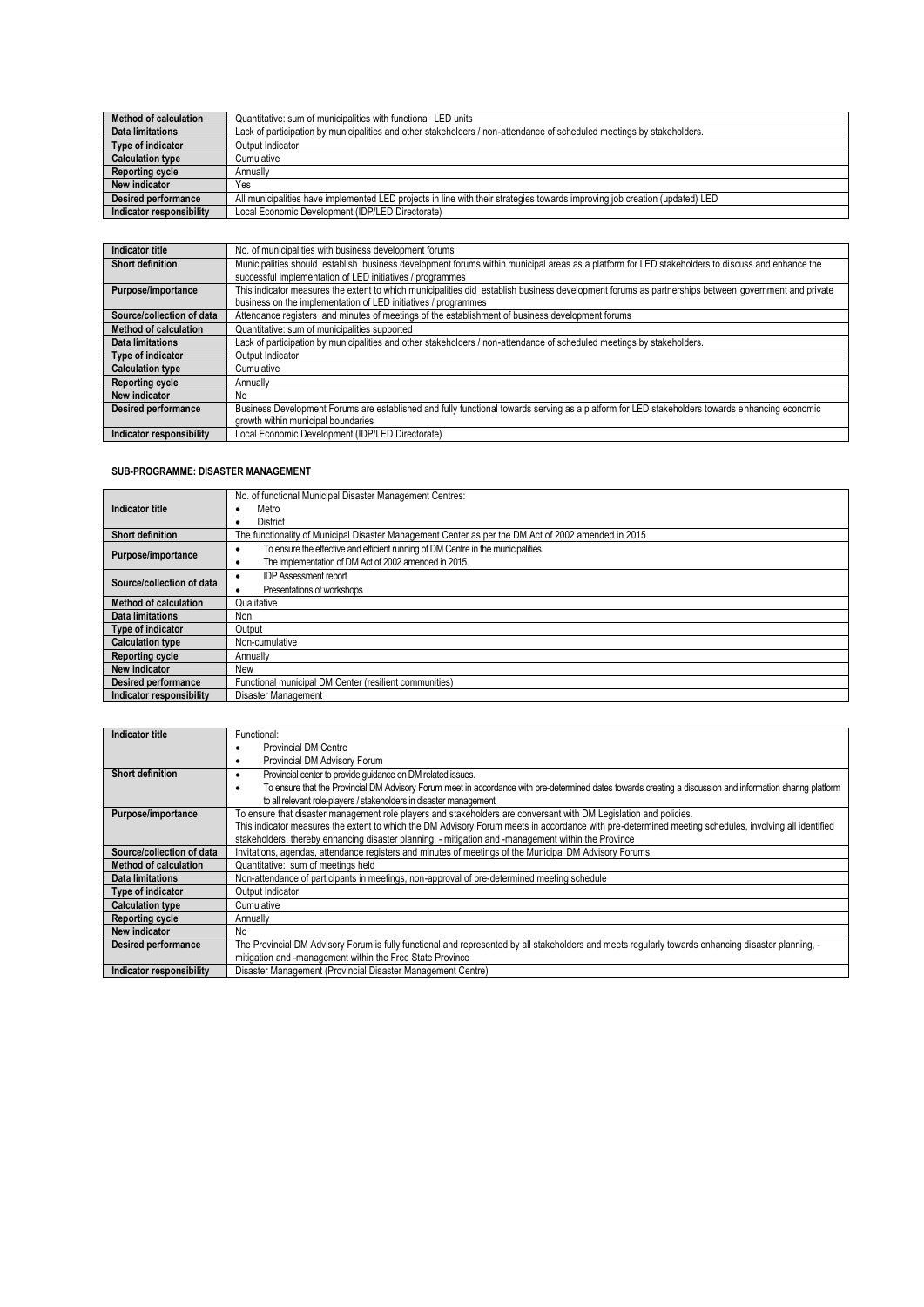| <b>Method of calculation</b> | Quantitative: sum of municipalities with functional LED units                                                               |
|------------------------------|-----------------------------------------------------------------------------------------------------------------------------|
| Data limitations             | Lack of participation by municipalities and other stakeholders / non-attendance of scheduled meetings by stakeholders.      |
| Type of indicator            | Output Indicator                                                                                                            |
| <b>Calculation type</b>      | Cumulative                                                                                                                  |
| <b>Reporting cycle</b>       | Annually                                                                                                                    |
| New indicator                | Yes                                                                                                                         |
| <b>Desired performance</b>   | All municipalities have implemented LED projects in line with their strategies towards improving job creation (updated) LED |
| Indicator responsibility     | Local Economic Development (IDP/LED Directorate)                                                                            |

| Indicator title              | No. of municipalities with business development forums                                                                                              |
|------------------------------|-----------------------------------------------------------------------------------------------------------------------------------------------------|
| <b>Short definition</b>      | Municipalities should establish business development forums within municipal areas as a platform for LED stakeholders to discuss and enhance the    |
|                              | successful implementation of LED initiatives / programmes                                                                                           |
| Purpose/importance           | This indicator measures the extent to which municipalities did establish business development forums as partnerships between government and private |
|                              | business on the implementation of LED initiatives / programmes                                                                                      |
| Source/collection of data    | Attendance registers and minutes of meetings of the establishment of business development forums                                                    |
| <b>Method of calculation</b> | Quantitative: sum of municipalities supported                                                                                                       |
| Data limitations             | Lack of participation by municipalities and other stakeholders / non-attendance of scheduled meetings by stakeholders.                              |
| Type of indicator            | Output Indicator                                                                                                                                    |
| <b>Calculation type</b>      | Cumulative                                                                                                                                          |
| <b>Reporting cycle</b>       | Annually                                                                                                                                            |
| <b>New indicator</b>         | No                                                                                                                                                  |
| <b>Desired performance</b>   | Business Development Forums are established and fully functional towards serving as a platform for LED stakeholders towards enhancing economic      |
|                              | growth within municipal boundaries                                                                                                                  |
| Indicator responsibility     | Local Economic Development (IDP/LED Directorate)                                                                                                    |

### **SUB-PROGRAMME: DISASTER MANAGEMENT**

| Indicator title            | No. of functional Municipal Disaster Management Centres:                                            |
|----------------------------|-----------------------------------------------------------------------------------------------------|
|                            | Metro<br>٠                                                                                          |
|                            | <b>District</b><br>$\bullet$                                                                        |
| <b>Short definition</b>    | The functionality of Municipal Disaster Management Center as per the DM Act of 2002 amended in 2015 |
| Purpose/importance         | To ensure the effective and efficient running of DM Centre in the municipalities.<br>٠              |
|                            | The implementation of DM Act of 2002 amended in 2015.<br>٠                                          |
| Source/collection of data  | <b>IDP Assessment report</b><br>٠                                                                   |
|                            | Presentations of workshops                                                                          |
| Method of calculation      | Qualitative                                                                                         |
| <b>Data limitations</b>    | Non                                                                                                 |
| Type of indicator          | Output                                                                                              |
| <b>Calculation type</b>    | Non-cumulative                                                                                      |
| <b>Reporting cycle</b>     | Annually                                                                                            |
| New indicator              | New                                                                                                 |
| <b>Desired performance</b> | Functional municipal DM Center (resilient communities)                                              |
| Indicator responsibility   | Disaster Management                                                                                 |

| Indicator title                 | Functional:                                                                                                                                                      |
|---------------------------------|------------------------------------------------------------------------------------------------------------------------------------------------------------------|
|                                 | <b>Provincial DM Centre</b>                                                                                                                                      |
|                                 | Provincial DM Advisory Forum<br>٠                                                                                                                                |
| <b>Short definition</b>         | Provincial center to provide guidance on DM related issues.<br>٠                                                                                                 |
|                                 | To ensure that the Provincial DM Advisory Forum meet in accordance with pre-determined dates towards creating a discussion and information sharing platform<br>٠ |
|                                 | to all relevant role-players / stakeholders in disaster management                                                                                               |
| Purpose/importance              | To ensure that disaster management role players and stakeholders are conversant with DM Legislation and policies.                                                |
|                                 | This indicator measures the extent to which the DM Advisory Forum meets in accordance with pre-determined meeting schedules, involving all identified            |
|                                 | stakeholders, thereby enhancing disaster planning, - mitigation and -management within the Province                                                              |
| Source/collection of data       | Invitations, agendas, attendance registers and minutes of meetings of the Municipal DM Advisory Forums                                                           |
| <b>Method of calculation</b>    | Quantitative: sum of meetings held                                                                                                                               |
| <b>Data limitations</b>         | Non-attendance of participants in meetings, non-approval of pre-determined meeting schedule                                                                      |
| Type of indicator               | Output Indicator                                                                                                                                                 |
| <b>Calculation type</b>         | Cumulative                                                                                                                                                       |
| <b>Reporting cycle</b>          | Annually                                                                                                                                                         |
| New indicator                   | No                                                                                                                                                               |
| Desired performance             | The Provincial DM Advisory Forum is fully functional and represented by all stakeholders and meets regularly towards enhancing disaster planning, -              |
|                                 | mitigation and -management within the Free State Province                                                                                                        |
| <b>Indicator responsibility</b> | Disaster Management (Provincial Disaster Management Centre)                                                                                                      |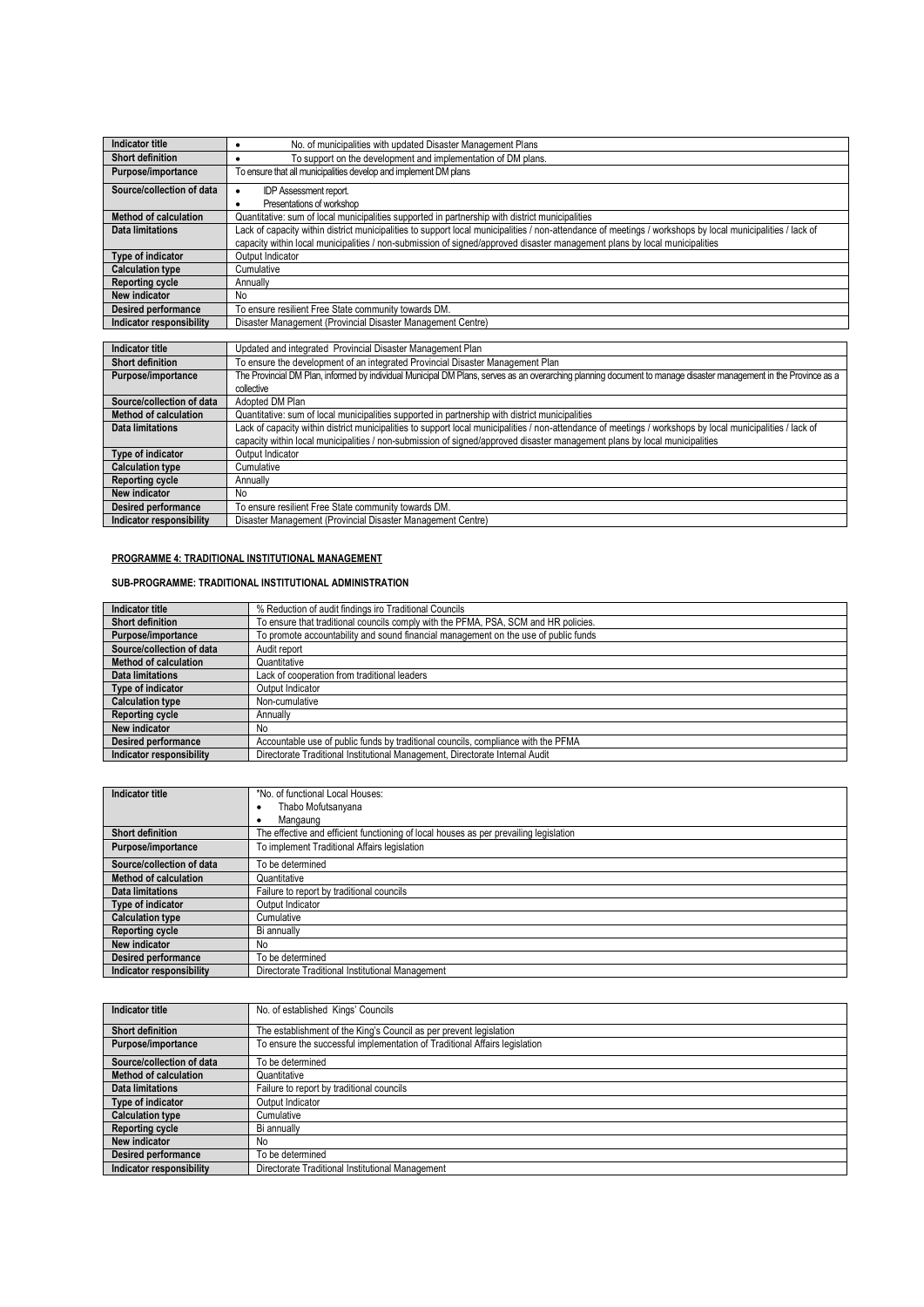| Indicator title              | No. of municipalities with updated Disaster Management Plans<br>٠                                                                                                |
|------------------------------|------------------------------------------------------------------------------------------------------------------------------------------------------------------|
| <b>Short definition</b>      | To support on the development and implementation of DM plans.<br>٠                                                                                               |
| Purpose/importance           | To ensure that all municipalities develop and implement DM plans                                                                                                 |
| Source/collection of data    | <b>IDP Assessment report.</b><br>$\bullet$                                                                                                                       |
|                              | Presentations of workshop<br>$\bullet$                                                                                                                           |
| <b>Method of calculation</b> | Quantitative: sum of local municipalities supported in partnership with district municipalities                                                                  |
| Data limitations             | Lack of capacity within district municipalities to support local municipalities / non-attendance of meetings / workshops by local municipalities / lack of       |
|                              | capacity within local municipalities / non-submission of signed/approved disaster management plans by local municipalities                                       |
| Type of indicator            | Output Indicator                                                                                                                                                 |
| <b>Calculation type</b>      | Cumulative                                                                                                                                                       |
| <b>Reporting cycle</b>       | Annually                                                                                                                                                         |
| New indicator                | <b>No</b>                                                                                                                                                        |
| <b>Desired performance</b>   | To ensure resilient Free State community towards DM.                                                                                                             |
| Indicator responsibility     | Disaster Management (Provincial Disaster Management Centre)                                                                                                      |
|                              |                                                                                                                                                                  |
| <b>Indicator title</b>       | Updated and integrated Provincial Disaster Management Plan                                                                                                       |
| <b>Short definition</b>      | To ensure the development of an integrated Provincial Disaster Management Plan                                                                                   |
| Purpose/importance           | The Provincial DM Plan, informed by individual Municipal DM Plans, serves as an overarching planning document to manage disaster management in the Province as a |
|                              | collective                                                                                                                                                       |
| Source/collection of data    | Adopted DM Plan                                                                                                                                                  |
| <b>Method of calculation</b> | Quantitative: sum of local municipalities supported in partnership with district municipalities                                                                  |
| <b>Data limitations</b>      | Lack of capacity within district municipalities to support local municipalities / non-attendance of meetings / workshops by local municipalities / lack of       |
|                              | capacity within local municipalities / non-submission of signed/approved disaster management plans by local municipalities                                       |
| Type of indicator            | Output Indicator                                                                                                                                                 |
| <b>Calculation type</b>      | Cumulative                                                                                                                                                       |
| <b>Reporting cycle</b>       | Annually                                                                                                                                                         |
| New indicator                | <b>No</b>                                                                                                                                                        |
| <b>Desired performance</b>   | To ensure resilient Free State community towards DM.                                                                                                             |

# **PROGRAMME 4: TRADITIONAL INSTITUTIONAL MANAGEMENT**

### **SUB-PROGRAMME: TRADITIONAL INSTITUTIONAL ADMINISTRATION**

**Indicator responsibility** Disaster Management (Provincial Disaster Management Centre)

| Indicator title              | % Reduction of audit findings iro Traditional Councils                              |
|------------------------------|-------------------------------------------------------------------------------------|
| <b>Short definition</b>      | To ensure that traditional councils comply with the PFMA, PSA, SCM and HR policies. |
| Purpose/importance           | To promote accountability and sound financial management on the use of public funds |
| Source/collection of data    | Audit report                                                                        |
| <b>Method of calculation</b> | Quantitative                                                                        |
| Data limitations             | Lack of cooperation from traditional leaders                                        |
| Type of indicator            | Output Indicator                                                                    |
| <b>Calculation type</b>      | Non-cumulative                                                                      |
| <b>Reporting cycle</b>       | Annually                                                                            |
| New indicator                | No                                                                                  |
| Desired performance          | Accountable use of public funds by traditional councils, compliance with the PFMA   |
| Indicator responsibility     | Directorate Traditional Institutional Management, Directorate Internal Audit        |

| Indicator title              | *No. of functional Local Houses:                                                      |
|------------------------------|---------------------------------------------------------------------------------------|
|                              | Thabo Mofutsanyana                                                                    |
|                              | Mangaung                                                                              |
| <b>Short definition</b>      | The effective and efficient functioning of local houses as per prevailing legislation |
| Purpose/importance           | To implement Traditional Affairs legislation                                          |
| Source/collection of data    | To be determined                                                                      |
| <b>Method of calculation</b> | Quantitative                                                                          |
| Data limitations             | Failure to report by traditional councils                                             |
| Type of indicator            | Output Indicator                                                                      |
| <b>Calculation type</b>      | Cumulative                                                                            |
| <b>Reporting cycle</b>       | Bi annually                                                                           |
| New indicator                | No.                                                                                   |
| <b>Desired performance</b>   | To be determined                                                                      |
| Indicator responsibility     | Directorate Traditional Institutional Management                                      |

| Indicator title            | No. of established Kings' Councils                                         |
|----------------------------|----------------------------------------------------------------------------|
| <b>Short definition</b>    | The establishment of the King's Council as per prevent legislation         |
| Purpose/importance         | To ensure the successful implementation of Traditional Affairs legislation |
| Source/collection of data  | To be determined                                                           |
| Method of calculation      | Quantitative                                                               |
| <b>Data limitations</b>    | Failure to report by traditional councils                                  |
| Type of indicator          | Output Indicator                                                           |
| <b>Calculation type</b>    | Cumulative                                                                 |
| <b>Reporting cycle</b>     | Bi annually                                                                |
| New indicator              | No                                                                         |
| <b>Desired performance</b> | To be determined                                                           |
| Indicator responsibility   | Directorate Traditional Institutional Management                           |